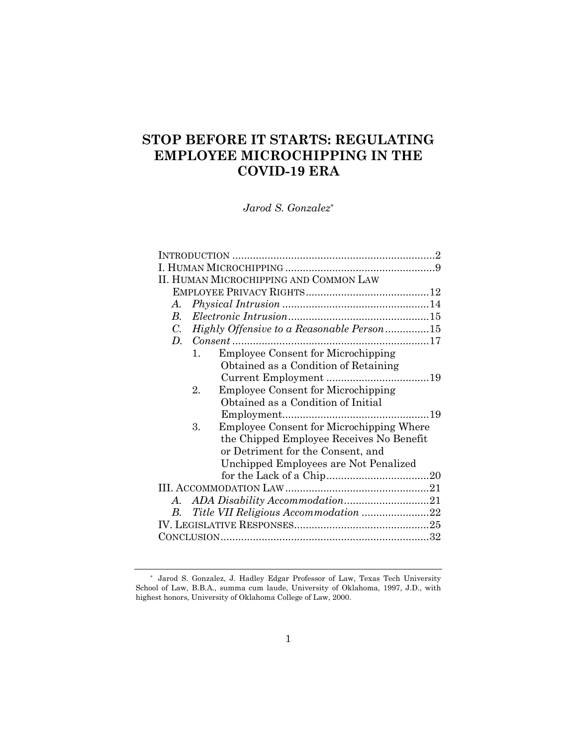# **STOP BEFORE IT STARTS: REGULATING EMPLOYEE MICROCHIPPING IN THE COVID-19 ERA**

*Jarod S. Gonzalez\**

|             | II. HUMAN MICROCHIPPING AND COMMON LAW                |  |
|-------------|-------------------------------------------------------|--|
|             |                                                       |  |
| A.          |                                                       |  |
| B.          |                                                       |  |
| $C_{\cdot}$ | Highly Offensive to a Reasonable Person15             |  |
| $D_{\cdot}$ | $Consent$                                             |  |
|             | <b>Employee Consent for Microchipping</b><br>$1_{-}$  |  |
|             | Obtained as a Condition of Retaining                  |  |
|             |                                                       |  |
|             | <b>Employee Consent for Microchipping</b><br>2.       |  |
|             | Obtained as a Condition of Initial                    |  |
|             |                                                       |  |
|             | <b>Employee Consent for Microchipping Where</b><br>3. |  |
|             | the Chipped Employee Receives No Benefit              |  |
|             | or Detriment for the Consent, and                     |  |
|             | Unchipped Employees are Not Penalized                 |  |
|             |                                                       |  |
|             |                                                       |  |
|             |                                                       |  |
| В.          |                                                       |  |
|             |                                                       |  |
|             |                                                       |  |
|             |                                                       |  |

<sup>\*</sup> Jarod S. Gonzalez, J. Hadley Edgar Professor of Law, Texas Tech University School of Law, B.B.A., summa cum laude, University of Oklahoma, 1997, J.D., with highest honors, University of Oklahoma College of Law, 2000.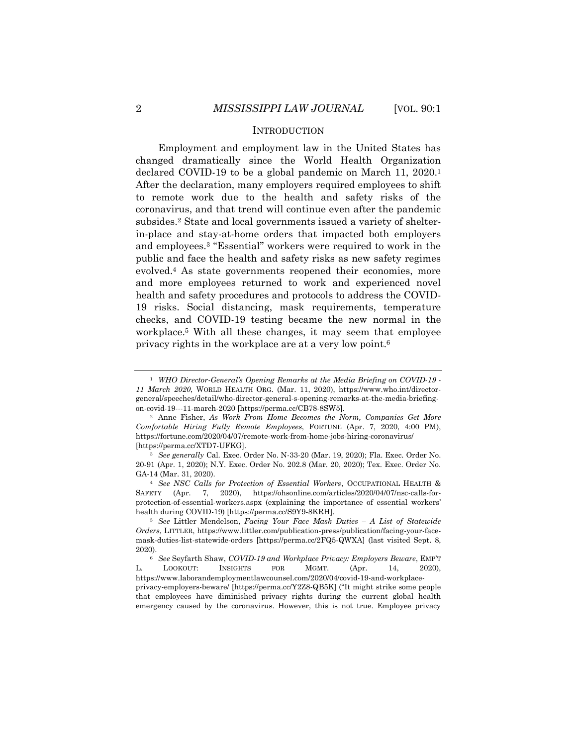## **INTRODUCTION**

Employment and employment law in the United States has changed dramatically since the World Health Organization declared COVID-19 to be a global pandemic on March 11, 2020.<sup>1</sup> After the declaration, many employers required employees to shift to remote work due to the health and safety risks of the coronavirus, and that trend will continue even after the pandemic subsides.<sup>2</sup> State and local governments issued a variety of shelterin-place and stay-at-home orders that impacted both employers and employees.<sup>3</sup> "Essential" workers were required to work in the public and face the health and safety risks as new safety regimes evolved.<sup>4</sup> As state governments reopened their economies, more and more employees returned to work and experienced novel health and safety procedures and protocols to address the COVID-19 risks. Social distancing, mask requirements, temperature checks, and COVID-19 testing became the new normal in the workplace.<sup>5</sup> With all these changes, it may seem that employee privacy rights in the workplace are at a very low point.<sup>6</sup>

<sup>1</sup> *WHO Director-General's Opening Remarks at the Media Briefing on COVID-19 - 11 March 2020*, WORLD HEALTH ORG. (Mar. 11, 2020), https://www.who.int/directorgeneral/speeches/detail/who-director-general-s-opening-remarks-at-the-media-briefingon-covid-19---11-march-2020 [https://perma.cc/CB78-8SW5].

<sup>2</sup> Anne Fisher, *As Work From Home Becomes the Norm, Companies Get More Comfortable Hiring Fully Remote Employees*, FORTUNE (Apr. 7, 2020, 4:00 PM), https://fortune.com/2020/04/07/remote-work-from-home-jobs-hiring-coronavirus/ [https://perma.cc/XTD7-UFKG].

<sup>3</sup> *See generally* Cal. Exec. Order No. N-33-20 (Mar. 19, 2020); Fla. Exec. Order No. 20-91 (Apr. 1, 2020); N.Y. Exec. Order No. 202.8 (Mar. 20, 2020); Tex. Exec. Order No. GA-14 (Mar. 31, 2020).

<sup>4</sup> *See NSC Calls for Protection of Essential Workers*, OCCUPATIONAL HEALTH & SAFETY (Apr. 7, 2020), https://ohsonline.com/articles/2020/04/07/nsc-calls-forprotection-of-essential-workers.aspx (explaining the importance of essential workers' health during COVID-19) [https://perma.cc/S9Y9-8KRH].

<sup>5</sup> *See* Littler Mendelson, *Facing Your Face Mask Duties – A List of Statewide Orders*, LITTLER, https://www.littler.com/publication-press/publication/facing-your-facemask-duties-list-statewide-orders [https://perma.cc/2FQ5-QWXA] (last visited Sept. 8, 2020).

<sup>6</sup> *See* Seyfarth Shaw, *COVID-19 and Workplace Privacy: Employers Beware*, EMP'T L. LOOKOUT: INSIGHTS FOR MGMT. (Apr. 14, 2020), https://www.laborandemploymentlawcounsel.com/2020/04/covid-19-and-workplace-

privacy-employers-beware/ [https://perma.cc/Y2Z8-QB5K] ("It might strike some people that employees have diminished privacy rights during the current global health emergency caused by the coronavirus. However, this is not true. Employee privacy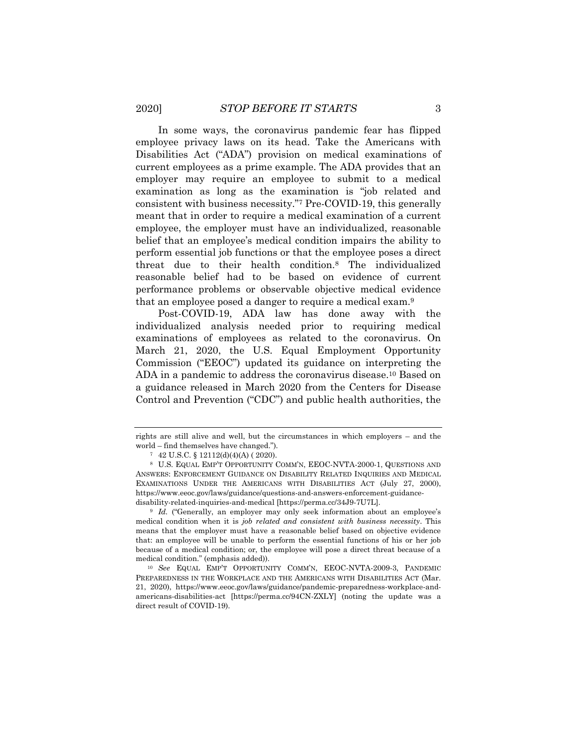In some ways, the coronavirus pandemic fear has flipped employee privacy laws on its head. Take the Americans with Disabilities Act ("ADA") provision on medical examinations of current employees as a prime example. The ADA provides that an employer may require an employee to submit to a medical examination as long as the examination is "job related and consistent with business necessity."<sup>7</sup> Pre-COVID-19, this generally meant that in order to require a medical examination of a current employee, the employer must have an individualized, reasonable belief that an employee's medical condition impairs the ability to perform essential job functions or that the employee poses a direct threat due to their health condition.<sup>8</sup> The individualized reasonable belief had to be based on evidence of current performance problems or observable objective medical evidence that an employee posed a danger to require a medical exam.<sup>9</sup>

Post-COVID-19, ADA law has done away with the individualized analysis needed prior to requiring medical examinations of employees as related to the coronavirus. On March 21, 2020, the U.S. Equal Employment Opportunity Commission ("EEOC") updated its guidance on interpreting the ADA in a pandemic to address the coronavirus disease.<sup>10</sup> Based on a guidance released in March 2020 from the Centers for Disease Control and Prevention ("CDC") and public health authorities, the

rights are still alive and well, but the circumstances in which employers – and the world – find themselves have changed.").

<sup>7</sup> 42 U.S.C. § 12112(d)(4)(A) ( 2020).

<sup>8</sup> U.S. EQUAL EMP'T OPPORTUNITY COMM'N, EEOC-NVTA-2000-1, QUESTIONS AND ANSWERS: ENFORCEMENT GUIDANCE ON DISABILITY RELATED INQUIRIES AND MEDICAL EXAMINATIONS UNDER THE AMERICANS WITH DISABILITIES ACT (July 27, 2000), https://www.eeoc.gov/laws/guidance/questions-and-answers-enforcement-guidancedisability-related-inquiries-and-medical [https://perma.cc/34J9-7U7L].

<sup>&</sup>lt;sup>9</sup> *Id.* ("Generally, an employer may only seek information about an employee's medical condition when it is *job related and consistent with business necessity*. This means that the employer must have a reasonable belief based on objective evidence that: an employee will be unable to perform the essential functions of his or her job because of a medical condition; or, the employee will pose a direct threat because of a medical condition." (emphasis added)).

<sup>10</sup> *See* EQUAL EMP'T OPPORTUNITY COMM'N, EEOC-NVTA-2009-3, PANDEMIC PREPAREDNESS IN THE WORKPLACE AND THE AMERICANS WITH DISABILITIES ACT (Mar. 21, 2020), https://www.eeoc.gov/laws/guidance/pandemic-preparedness-workplace-andamericans-disabilities-act [https://perma.cc/94CN-ZXLY] (noting the update was a direct result of COVID-19).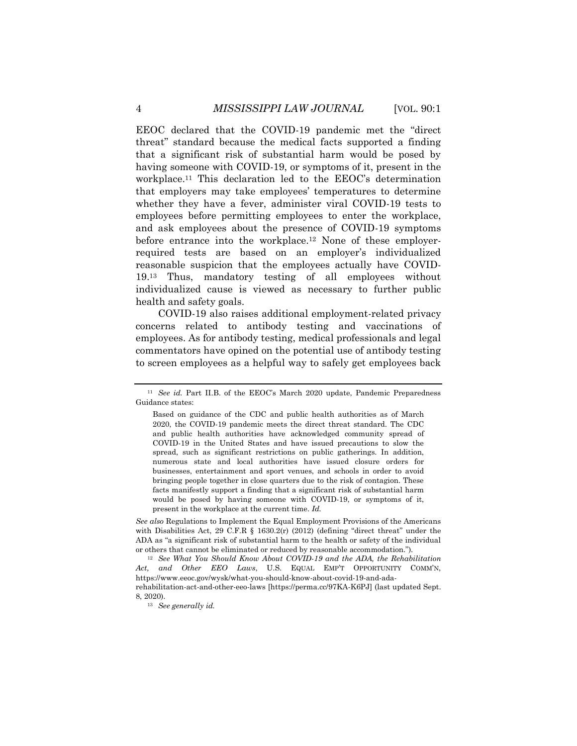EEOC declared that the COVID-19 pandemic met the "direct threat" standard because the medical facts supported a finding that a significant risk of substantial harm would be posed by having someone with COVID-19, or symptoms of it, present in the workplace.<sup>11</sup> This declaration led to the EEOC's determination that employers may take employees' temperatures to determine whether they have a fever, administer viral COVID-19 tests to employees before permitting employees to enter the workplace, and ask employees about the presence of COVID-19 symptoms before entrance into the workplace.<sup>12</sup> None of these employerrequired tests are based on an employer's individualized reasonable suspicion that the employees actually have COVID-19.<sup>13</sup> Thus, mandatory testing of all employees without individualized cause is viewed as necessary to further public health and safety goals.

COVID-19 also raises additional employment-related privacy concerns related to antibody testing and vaccinations of employees. As for antibody testing, medical professionals and legal commentators have opined on the potential use of antibody testing to screen employees as a helpful way to safely get employees back

*See also* Regulations to Implement the Equal Employment Provisions of the Americans with Disabilities Act, 29 C.F.R  $\S$  1630.2(r) (2012) (defining "direct threat" under the ADA as "a significant risk of substantial harm to the health or safety of the individual or others that cannot be eliminated or reduced by reasonable accommodation.").

<sup>13</sup> *See generally id.*

<sup>&</sup>lt;sup>11</sup> *See id.* Part II.B. of the EEOC's March 2020 update, Pandemic Preparedness Guidance states:

Based on guidance of the CDC and public health authorities as of March 2020, the COVID-19 pandemic meets the direct threat standard. The CDC and public health authorities have acknowledged community spread of COVID-19 in the United States and have issued precautions to slow the spread, such as significant restrictions on public gatherings. In addition, numerous state and local authorities have issued closure orders for businesses, entertainment and sport venues, and schools in order to avoid bringing people together in close quarters due to the risk of contagion. These facts manifestly support a finding that a significant risk of substantial harm would be posed by having someone with COVID-19, or symptoms of it, present in the workplace at the current time. *Id.*

<sup>12</sup> *See What You Should Know About COVID-19 and the ADA, the Rehabilitation Act, and Other EEO Laws*, U.S. EQUAL EMP'T OPPORTUNITY COMM'N, https://www.eeoc.gov/wysk/what-you-should-know-about-covid-19-and-adarehabilitation-act-and-other-eeo-laws [https://perma.cc/97KA-K6PJ] (last updated Sept. 8, 2020).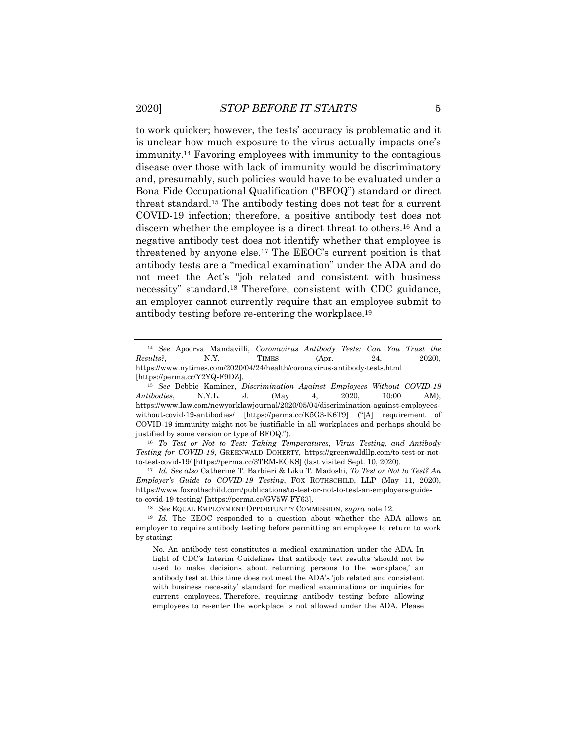to work quicker; however, the tests' accuracy is problematic and it is unclear how much exposure to the virus actually impacts one's immunity.<sup>14</sup> Favoring employees with immunity to the contagious disease over those with lack of immunity would be discriminatory and, presumably, such policies would have to be evaluated under a Bona Fide Occupational Qualification ("BFOQ") standard or direct threat standard.<sup>15</sup> The antibody testing does not test for a current COVID-19 infection; therefore, a positive antibody test does not discern whether the employee is a direct threat to others.<sup>16</sup> And a negative antibody test does not identify whether that employee is threatened by anyone else.<sup>17</sup> The EEOC's current position is that antibody tests are a "medical examination" under the ADA and do not meet the Act's "job related and consistent with business necessity" standard.<sup>18</sup> Therefore, consistent with CDC guidance, an employer cannot currently require that an employee submit to antibody testing before re-entering the workplace.<sup>19</sup>

<sup>14</sup> *See* Apoorva Mandavilli, *Coronavirus Antibody Tests: Can You Trust the Results?*, **N.Y.** TIMES (Apr. 24, 2020), https://www.nytimes.com/2020/04/24/health/coronavirus-antibody-tests.html [https://perma.cc/Y2YQ-F9DZ].

<sup>15</sup> *See* Debbie Kaminer, *Discrimination Against Employees Without COVID-19 Antibodies*, N.Y.L. J. (May 4, 2020, 10:00 AM), https://www.law.com/newyorklawjournal/2020/05/04/discrimination-against-employeeswithout-covid-19-antibodies/ [https://perma.cc/K5G3-K6T9] ("[A] requirement of COVID-19 immunity might not be justifiable in all workplaces and perhaps should be justified by some version or type of BFOQ.").

<sup>16</sup> *To Test or Not to Test: Taking Temperatures, Virus Testing, and Antibody Testing for COVID-19*, GREENWALD DOHERTY, https://greenwaldllp.com/to-test-or-notto-test-covid-19/ [https://perma.cc/3TRM-ECKS] (last visited Sept. 10, 2020).

<sup>17</sup> *Id. See also* Catherine T. Barbieri & Liku T. Madoshi, *To Test or Not to Test? An Employer's Guide to COVID-19 Testing*, FOX ROTHSCHILD, LLP (May 11, 2020), https://www.foxrothschild.com/publications/to-test-or-not-to-test-an-employers-guideto-covid-19-testing/ [https://perma.cc/GV5W-FY63].

<sup>18</sup> *See* EQUAL EMPLOYMENT OPPORTUNITY COMMISSION, *supra* note 12.

<sup>&</sup>lt;sup>19</sup> *Id.* The EEOC responded to a question about whether the ADA allows an employer to require antibody testing before permitting an employee to return to work by stating:

No. An antibody test constitutes a medical examination under the ADA. In light of CDC's Interim Guidelines that antibody test results 'should not be used to make decisions about returning persons to the workplace,' an antibody test at this time does not meet the ADA's 'job related and consistent with business necessity' standard for medical examinations or inquiries for current employees. Therefore, requiring antibody testing before allowing employees to re-enter the workplace is not allowed under the ADA. Please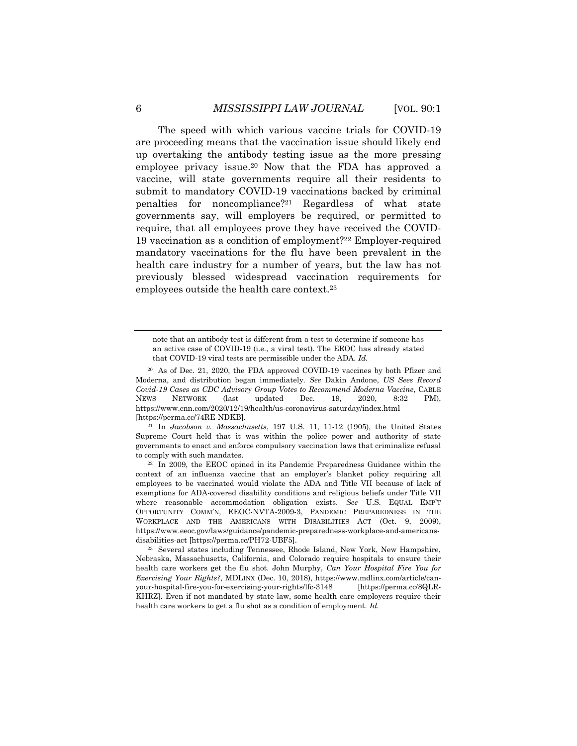The speed with which various vaccine trials for COVID-19 are proceeding means that the vaccination issue should likely end up overtaking the antibody testing issue as the more pressing employee privacy issue.<sup>20</sup> Now that the FDA has approved a vaccine, will state governments require all their residents to submit to mandatory COVID-19 vaccinations backed by criminal penalties for noncompliance?<sup>21</sup> Regardless of what state governments say, will employers be required, or permitted to require, that all employees prove they have received the COVID-19 vaccination as a condition of employment?<sup>22</sup> Employer-required mandatory vaccinations for the flu have been prevalent in the health care industry for a number of years, but the law has not previously blessed widespread vaccination requirements for employees outside the health care context.<sup>23</sup>

note that an antibody test is different from a test to determine if someone has an active case of COVID-19 (i.e., a viral test). The EEOC has already stated that COVID-19 viral tests are permissible under the ADA. *Id.*

<sup>20</sup> As of Dec. 21, 2020, the FDA approved COVID-19 vaccines by both Pfizer and Moderna, and distribution began immediately. *See* Dakin Andone, *US Sees Record Covid-19 Cases as CDC Advisory Group Votes to Recommend Moderna Vaccine*, CABLE NEWS NETWORK (last updated Dec. 19, 2020, 8:32 PM), https://www.cnn.com/2020/12/19/health/us-coronavirus-saturday/index.html [https://perma.cc/74RE-NDKB].

<sup>21</sup> In *Jacobson v. Massachusetts*, 197 U.S. 11, 11-12 (1905), the United States Supreme Court held that it was within the police power and authority of state governments to enact and enforce compulsory vaccination laws that criminalize refusal to comply with such mandates.

<sup>22</sup> In 2009, the EEOC opined in its Pandemic Preparedness Guidance within the context of an influenza vaccine that an employer's blanket policy requiring all employees to be vaccinated would violate the ADA and Title VII because of lack of exemptions for ADA-covered disability conditions and religious beliefs under Title VII where reasonable accommodation obligation exists. *See* U.S. EQUAL EMP'T OPPORTUNITY COMM'N, EEOC-NVTA-2009-3, PANDEMIC PREPAREDNESS IN THE WORKPLACE AND THE AMERICANS WITH DISABILITIES ACT (Oct. 9, 2009), https://www.eeoc.gov/laws/guidance/pandemic-preparedness-workplace-and-americansdisabilities-act [https://perma.cc/PH72-UBF5].

<sup>23</sup> Several states including Tennessee, Rhode Island, New York, New Hampshire, Nebraska, Massachusetts, California, and Colorado require hospitals to ensure their health care workers get the flu shot. John Murphy, *Can Your Hospital Fire You for Exercising Your Rights?*, MDLINX (Dec. 10, 2018), https://www.mdlinx.com/article/canyour-hospital-fire-you-for-exercising-your-rights/lfc-3148 [https://perma.cc/8QLR-KHRZ]. Even if not mandated by state law, some health care employers require their health care workers to get a flu shot as a condition of employment. *Id.*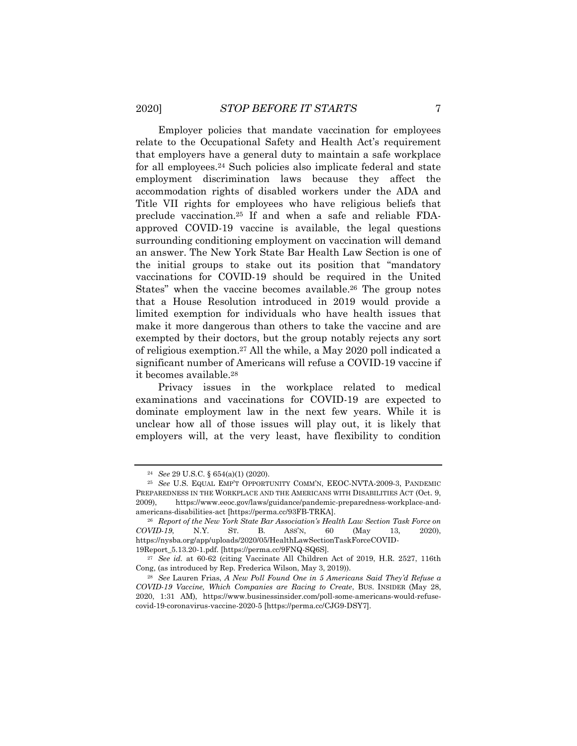Employer policies that mandate vaccination for employees relate to the Occupational Safety and Health Act's requirement that employers have a general duty to maintain a safe workplace for all employees.<sup>24</sup> Such policies also implicate federal and state employment discrimination laws because they affect the accommodation rights of disabled workers under the ADA and Title VII rights for employees who have religious beliefs that preclude vaccination.<sup>25</sup> If and when a safe and reliable FDAapproved COVID-19 vaccine is available, the legal questions surrounding conditioning employment on vaccination will demand an answer. The New York State Bar Health Law Section is one of the initial groups to stake out its position that "mandatory vaccinations for COVID-19 should be required in the United States" when the vaccine becomes available.<sup>26</sup> The group notes that a House Resolution introduced in 2019 would provide a limited exemption for individuals who have health issues that make it more dangerous than others to take the vaccine and are exempted by their doctors, but the group notably rejects any sort of religious exemption.<sup>27</sup> All the while, a May 2020 poll indicated a significant number of Americans will refuse a COVID-19 vaccine if it becomes available.<sup>28</sup>

Privacy issues in the workplace related to medical examinations and vaccinations for COVID-19 are expected to dominate employment law in the next few years. While it is unclear how all of those issues will play out, it is likely that employers will, at the very least, have flexibility to condition

<sup>24</sup> *See* 29 U.S.C. § 654(a)(1) (2020).

<sup>25</sup> *See* U.S. EQUAL EMP'T OPPORTUNITY COMM'N, EEOC-NVTA-2009-3, PANDEMIC PREPAREDNESS IN THE WORKPLACE AND THE AMERICANS WITH DISABILITIES ACT (Oct. 9, 2009), https://www.eeoc.gov/laws/guidance/pandemic-preparedness-workplace-andamericans-disabilities-act [https://perma.cc/93FB-TRKA].

<sup>26</sup> *Report of the New York State Bar Association's Health Law Section Task Force on COVID-19*, N.Y. ST. B. ASS'N, 60 (May 13, 2020), https://nysba.org/app/uploads/2020/05/HealthLawSectionTaskForceCOVID-19Report\_5.13.20-1.pdf. [https://perma.cc/9FNQ-SQ6S].

<sup>27</sup> *See id.* at 60-62 (citing Vaccinate All Children Act of 2019, H.R. 2527, 116th Cong, (as introduced by Rep. Frederica Wilson, May 3, 2019)).

<sup>28</sup> *See* Lauren Frias, *A New Poll Found One in 5 Americans Said They'd Refuse a COVID-19 Vaccine, Which Companies are Racing to Create*, BUS. INSIDER (May 28, 2020, 1:31 AM), https://www.businessinsider.com/poll-some-americans-would-refusecovid-19-coronavirus-vaccine-2020-5 [https://perma.cc/CJG9-DSY7].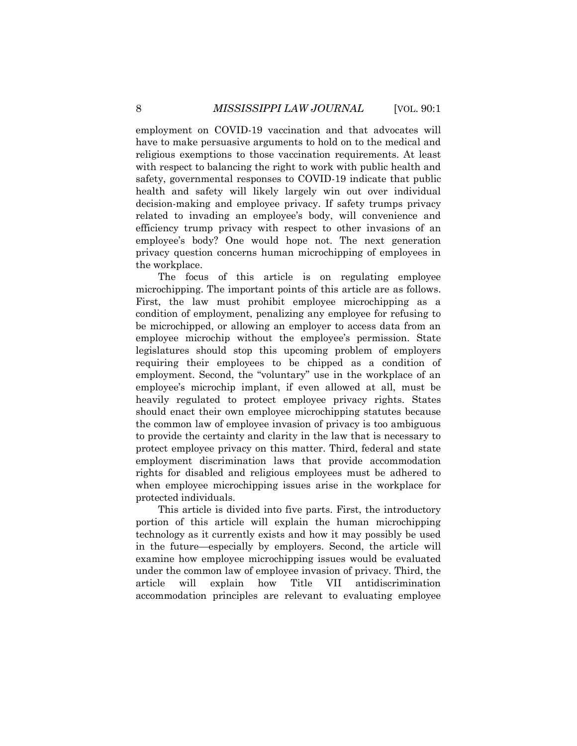employment on COVID-19 vaccination and that advocates will have to make persuasive arguments to hold on to the medical and religious exemptions to those vaccination requirements. At least with respect to balancing the right to work with public health and safety, governmental responses to COVID-19 indicate that public health and safety will likely largely win out over individual decision-making and employee privacy. If safety trumps privacy related to invading an employee's body, will convenience and efficiency trump privacy with respect to other invasions of an employee's body? One would hope not. The next generation privacy question concerns human microchipping of employees in the workplace.

The focus of this article is on regulating employee microchipping. The important points of this article are as follows. First, the law must prohibit employee microchipping as a condition of employment, penalizing any employee for refusing to be microchipped, or allowing an employer to access data from an employee microchip without the employee's permission. State legislatures should stop this upcoming problem of employers requiring their employees to be chipped as a condition of employment. Second, the "voluntary" use in the workplace of an employee's microchip implant, if even allowed at all, must be heavily regulated to protect employee privacy rights. States should enact their own employee microchipping statutes because the common law of employee invasion of privacy is too ambiguous to provide the certainty and clarity in the law that is necessary to protect employee privacy on this matter. Third, federal and state employment discrimination laws that provide accommodation rights for disabled and religious employees must be adhered to when employee microchipping issues arise in the workplace for protected individuals.

This article is divided into five parts. First, the introductory portion of this article will explain the human microchipping technology as it currently exists and how it may possibly be used in the future—especially by employers. Second, the article will examine how employee microchipping issues would be evaluated under the common law of employee invasion of privacy. Third, the article will explain how Title VII antidiscrimination accommodation principles are relevant to evaluating employee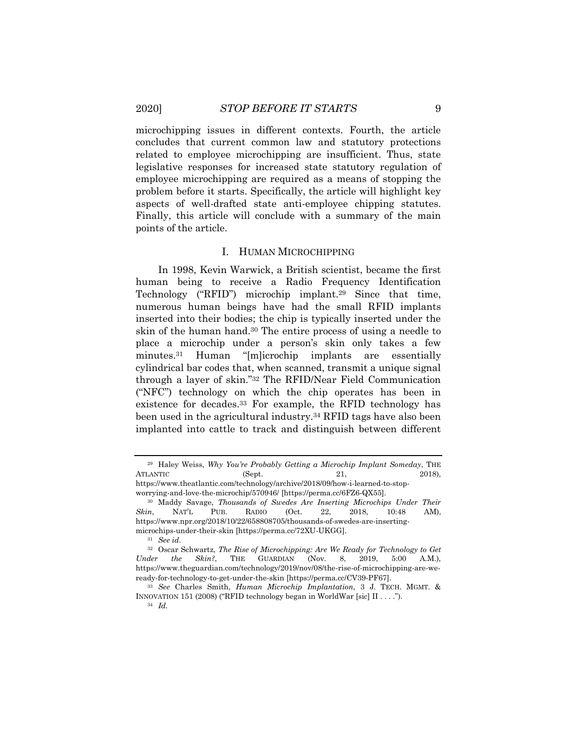microchipping issues in different contexts. Fourth, the article concludes that current common law and statutory protections related to employee microchipping are insufficient. Thus, state legislative responses for increased state statutory regulation of employee microchipping are required as a means of stopping the problem before it starts. Specifically, the article will highlight key aspects of well-drafted state anti-employee chipping statutes. Finally, this article will conclude with a summary of the main points of the article.

### I. HUMAN MICROCHIPPING

In 1998, Kevin Warwick, a British scientist, became the first human being to receive a Radio Frequency Identification Technology ("RFID") microchip implant.<sup>29</sup> Since that time, numerous human beings have had the small RFID implants inserted into their bodies; the chip is typically inserted under the skin of the human hand.<sup>30</sup> The entire process of using a needle to place a microchip under a person's skin only takes a few minutes.<sup>31</sup> Human "[m]icrochip implants are essentially cylindrical bar codes that, when scanned, transmit a unique signal through a layer of skin."<sup>32</sup> The RFID/Near Field Communication ("NFC") technology on which the chip operates has been in existence for decades.<sup>33</sup> For example, the RFID technology has been used in the agricultural industry.<sup>34</sup> RFID tags have also been implanted into cattle to track and distinguish between different

<sup>29</sup> Haley Weiss, *Why You're Probably Getting a Microchip Implant Someday*, THE ATLANTIC (Sept. 21, 2018), https://www.theatlantic.com/technology/archive/2018/09/how-i-learned-to-stop-

worrying-and-love-the-microchip/570946/ [https://perma.cc/6FZ6-QX55].

<sup>30</sup> Maddy Savage, *Thousands of Swedes Are Inserting Microchips Under Their Skin*, NAT'L PUB. RADIO (Oct. 22, 2018, 10:48 AM), https://www.npr.org/2018/10/22/658808705/thousands-of-swedes-are-insertingmicrochips-under-their-skin [https://perma.cc/72XU-UKGG].

<sup>31</sup> *See id.*

<sup>32</sup> Oscar Schwartz, *The Rise of Microchipping: Are We Ready for Technology to Get Under the Skin?*, THE GUARDIAN (Nov. 8, 2019, 5:00 A.M.), https://www.theguardian.com/technology/2019/nov/08/the-rise-of-microchipping-are-weready-for-technology-to-get-under-the-skin [https://perma.cc/CV39-PF67].

<sup>33</sup> *See* Charles Smith, *Human Microchip Implantation*, 3 J. TECH. MGMT. & INNOVATION 151 (2008) ("RFID technology began in WorldWar [sic] II . . . .").

<sup>34</sup> *Id.*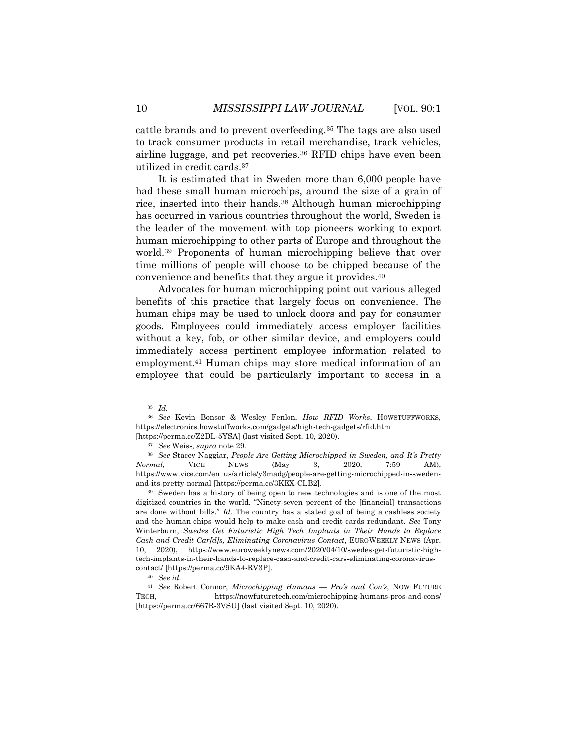cattle brands and to prevent overfeeding.<sup>35</sup> The tags are also used to track consumer products in retail merchandise, track vehicles, airline luggage, and pet recoveries.<sup>36</sup> RFID chips have even been utilized in credit cards.<sup>37</sup>

It is estimated that in Sweden more than 6,000 people have had these small human microchips, around the size of a grain of rice, inserted into their hands.<sup>38</sup> Although human microchipping has occurred in various countries throughout the world, Sweden is the leader of the movement with top pioneers working to export human microchipping to other parts of Europe and throughout the world.<sup>39</sup> Proponents of human microchipping believe that over time millions of people will choose to be chipped because of the convenience and benefits that they argue it provides.<sup>40</sup>

Advocates for human microchipping point out various alleged benefits of this practice that largely focus on convenience. The human chips may be used to unlock doors and pay for consumer goods. Employees could immediately access employer facilities without a key, fob, or other similar device, and employers could immediately access pertinent employee information related to employment.<sup>41</sup> Human chips may store medical information of an employee that could be particularly important to access in a

<sup>35</sup> *Id.*

<sup>36</sup> *See* Kevin Bonsor & Wesley Fenlon, *How RFID Works*, HOWSTUFFWORKS, https://electronics.howstuffworks.com/gadgets/high-tech-gadgets/rfid.htm

<sup>[</sup>https://perma.cc/Z2DL-5YSA] (last visited Sept. 10, 2020).

<sup>37</sup> *See* Weiss, *supra* note 29.

<sup>38</sup> *See* Stacey Naggiar, *People Are Getting Microchipped in Sweden, and It's Pretty Normal*, VICE NEWS (May 3, 2020, 7:59 AM), https://www.vice.com/en\_us/article/y3madg/people-are-getting-microchipped-in-swedenand-its-pretty-normal [https://perma.cc/3KEX-CLB2].

<sup>39</sup> Sweden has a history of being open to new technologies and is one of the most digitized countries in the world. "Ninety-seven percent of the [financial] transactions are done without bills." *Id.* The country has a stated goal of being a cashless society and the human chips would help to make cash and credit cards redundant. *See* Tony Winterburn, *Swedes Get Futuristic High Tech Implants in Their Hands to Replace Cash and Credit Car[d]s, Eliminating Coronavirus Contact*, EUROWEEKLY NEWS (Apr. 10, 2020), https://www.euroweeklynews.com/2020/04/10/swedes-get-futuristic-hightech-implants-in-their-hands-to-replace-cash-and-credit-cars-eliminating-coronaviruscontact/ [https://perma.cc/9KA4-RV3P].

<sup>40</sup> *See id.*

<sup>41</sup> *See* Robert Connor, *Microchipping Humans — Pro's and Con's*, NOW FUTURE TECH, https://nowfuturetech.com/microchipping-humans-pros-and-cons/ [https://perma.cc/667R-3VSU] (last visited Sept. 10, 2020).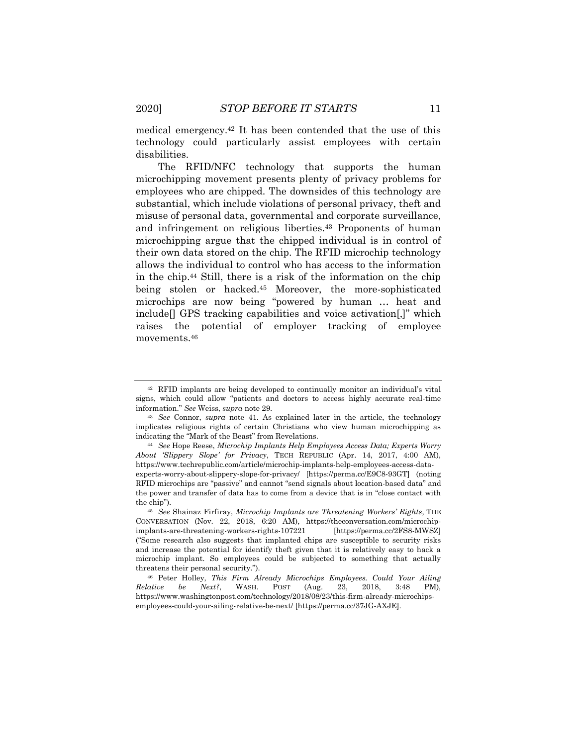medical emergency.<sup>42</sup> It has been contended that the use of this technology could particularly assist employees with certain disabilities.

The RFID/NFC technology that supports the human microchipping movement presents plenty of privacy problems for employees who are chipped. The downsides of this technology are substantial, which include violations of personal privacy, theft and misuse of personal data, governmental and corporate surveillance, and infringement on religious liberties.<sup>43</sup> Proponents of human microchipping argue that the chipped individual is in control of their own data stored on the chip. The RFID microchip technology allows the individual to control who has access to the information in the chip.<sup>44</sup> Still, there is a risk of the information on the chip being stolen or hacked.<sup>45</sup> Moreover, the more-sophisticated microchips are now being "powered by human … heat and include[] GPS tracking capabilities and voice activation[,]" which raises the potential of employer tracking of employee movements.<sup>46</sup>

<sup>42</sup> RFID implants are being developed to continually monitor an individual's vital signs, which could allow "patients and doctors to access highly accurate real-time information." *See* Weiss, *supra* note 29.

<sup>43</sup> *See* Connor, *supra* note 41. As explained later in the article, the technology implicates religious rights of certain Christians who view human microchipping as indicating the "Mark of the Beast" from Revelations.

<sup>44</sup> *See* Hope Reese, *Microchip Implants Help Employees Access Data; Experts Worry About 'Slippery Slope' for Privacy*, TECH REPUBLIC (Apr. 14, 2017, 4:00 AM), https://www.techrepublic.com/article/microchip-implants-help-employees-access-dataexperts-worry-about-slippery-slope-for-privacy/ [https://perma.cc/E9C8-93GT] (noting RFID microchips are "passive" and cannot "send signals about location-based data" and the power and transfer of data has to come from a device that is in "close contact with the chip").

<sup>45</sup> *See* Shainaz Firfiray, *Microchip Implants are Threatening Workers' Rights*, THE CONVERSATION (Nov. 22, 2018, 6:20 AM), https://theconversation.com/microchipimplants-are-threatening-workers-rights-107221 [https://perma.cc/2FS8-MWSZ] ("Some research also suggests that implanted chips are susceptible to security risks and increase the potential for identify theft given that it is relatively easy to hack a microchip implant. So employees could be subjected to something that actually threatens their personal security.").

<sup>46</sup> Peter Holley, *This Firm Already Microchips Employees. Could Your Ailing Relative be Next?*, WASH. POST (Aug. 23, 2018, 3:48 PM), https://www.washingtonpost.com/technology/2018/08/23/this-firm-already-microchipsemployees-could-your-ailing-relative-be-next/ [https://perma.cc/37JG-AXJE].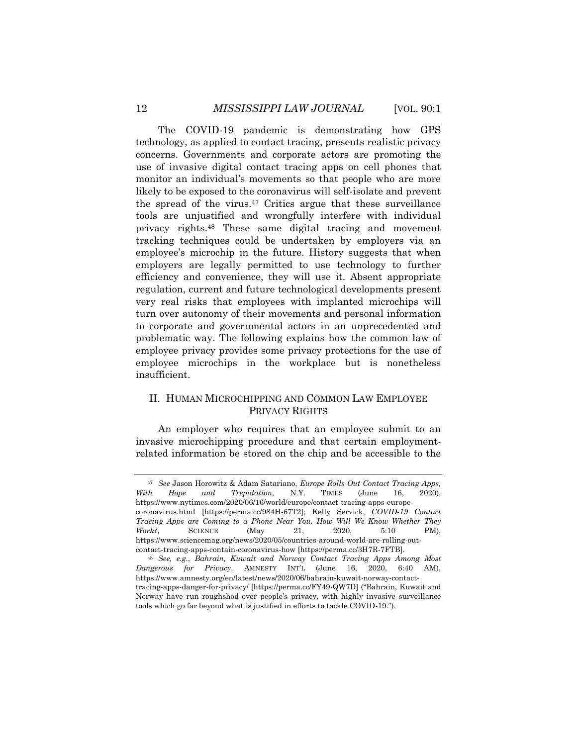The COVID-19 pandemic is demonstrating how GPS technology, as applied to contact tracing, presents realistic privacy concerns. Governments and corporate actors are promoting the use of invasive digital contact tracing apps on cell phones that monitor an individual's movements so that people who are more likely to be exposed to the coronavirus will self-isolate and prevent the spread of the virus.<sup>47</sup> Critics argue that these surveillance tools are unjustified and wrongfully interfere with individual privacy rights.<sup>48</sup> These same digital tracing and movement tracking techniques could be undertaken by employers via an employee's microchip in the future. History suggests that when employers are legally permitted to use technology to further efficiency and convenience, they will use it. Absent appropriate regulation, current and future technological developments present very real risks that employees with implanted microchips will turn over autonomy of their movements and personal information to corporate and governmental actors in an unprecedented and problematic way. The following explains how the common law of employee privacy provides some privacy protections for the use of employee microchips in the workplace but is nonetheless insufficient.

# II. HUMAN MICROCHIPPING AND COMMON LAW EMPLOYEE PRIVACY RIGHTS

An employer who requires that an employee submit to an invasive microchipping procedure and that certain employmentrelated information be stored on the chip and be accessible to the

<sup>47</sup> *See* Jason Horowitz & Adam Satariano, *Europe Rolls Out Contact Tracing Apps, With Hope and Trepidation*, N.Y. TIMES (June 16, 2020), https://www.nytimes.com/2020/06/16/world/europe/contact-tracing-apps-europecoronavirus.html [https://perma.cc/984H-67T2]; Kelly Servick, *COVID-19 Contact Tracing Apps are Coming to a Phone Near You. How Will We Know Whether They Work?*, SCIENCE (May 21, 2020, 5:10 PM), https://www.sciencemag.org/news/2020/05/countries-around-world-are-rolling-outcontact-tracing-apps-contain-coronavirus-how [https://perma.cc/3H7R-7FTB].

<sup>48</sup> *See, e.g.*, *Bahrain, Kuwait and Norway Contact Tracing Apps Among Most Dangerous for Privacy*, AMNESTY INT'L (June 16, 2020, 6:40 AM), https://www.amnesty.org/en/latest/news/2020/06/bahrain-kuwait-norway-contacttracing-apps-danger-for-privacy/ [https://perma.cc/FY49-QW7D] ("Bahrain, Kuwait and Norway have run roughshod over people's privacy, with highly invasive surveillance tools which go far beyond what is justified in efforts to tackle COVID-19.").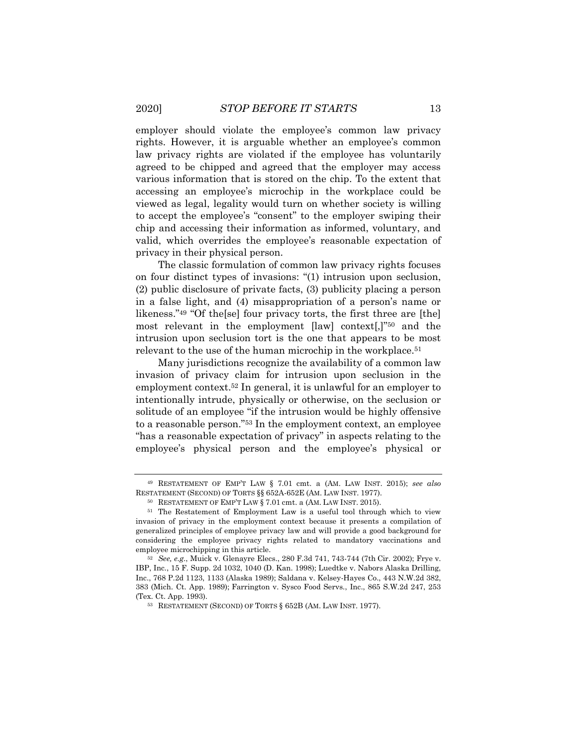employer should violate the employee's common law privacy rights. However, it is arguable whether an employee's common law privacy rights are violated if the employee has voluntarily agreed to be chipped and agreed that the employer may access various information that is stored on the chip. To the extent that accessing an employee's microchip in the workplace could be viewed as legal, legality would turn on whether society is willing to accept the employee's "consent" to the employer swiping their chip and accessing their information as informed, voluntary, and valid, which overrides the employee's reasonable expectation of privacy in their physical person.

The classic formulation of common law privacy rights focuses on four distinct types of invasions: "(1) intrusion upon seclusion, (2) public disclosure of private facts, (3) publicity placing a person in a false light, and (4) misappropriation of a person's name or likeness."<sup>49</sup> "Of the[se] four privacy torts, the first three are [the] most relevant in the employment [law] context[,]"<sup>50</sup> and the intrusion upon seclusion tort is the one that appears to be most relevant to the use of the human microchip in the workplace.<sup>51</sup>

Many jurisdictions recognize the availability of a common law invasion of privacy claim for intrusion upon seclusion in the employment context.<sup>52</sup> In general, it is unlawful for an employer to intentionally intrude, physically or otherwise, on the seclusion or solitude of an employee "if the intrusion would be highly offensive to a reasonable person."<sup>53</sup> In the employment context, an employee "has a reasonable expectation of privacy" in aspects relating to the employee's physical person and the employee's physical or

<sup>49</sup> RESTATEMENT OF EMP'T LAW § 7.01 cmt. a (AM. LAW INST. 2015); *see also*  RESTATEMENT (SECOND) OF TORTS §§ 652A-652E (AM. LAW INST. 1977).

<sup>50</sup> RESTATEMENT OF EMP'T LAW § 7.01 cmt. a (AM. LAW INST. 2015).

<sup>51</sup> The Restatement of Employment Law is a useful tool through which to view invasion of privacy in the employment context because it presents a compilation of generalized principles of employee privacy law and will provide a good background for considering the employee privacy rights related to mandatory vaccinations and employee microchipping in this article.

<sup>52</sup> *See, e.g.*, Muick v. Glenayre Elecs., 280 F.3d 741, 743-744 (7th Cir. 2002); Frye v. IBP, Inc., 15 F. Supp. 2d 1032, 1040 (D. Kan. 1998); Luedtke v. Nabors Alaska Drilling, Inc., 768 P.2d 1123, 1133 (Alaska 1989); Saldana v. Kelsey-Hayes Co., 443 N.W.2d 382, 383 (Mich. Ct. App. 1989); Farrington v. Sysco Food Servs., Inc., 865 S.W.2d 247, 253 (Tex. Ct. App. 1993).

<sup>53</sup> RESTATEMENT (SECOND) OF TORTS § 652B (AM. LAW INST. 1977).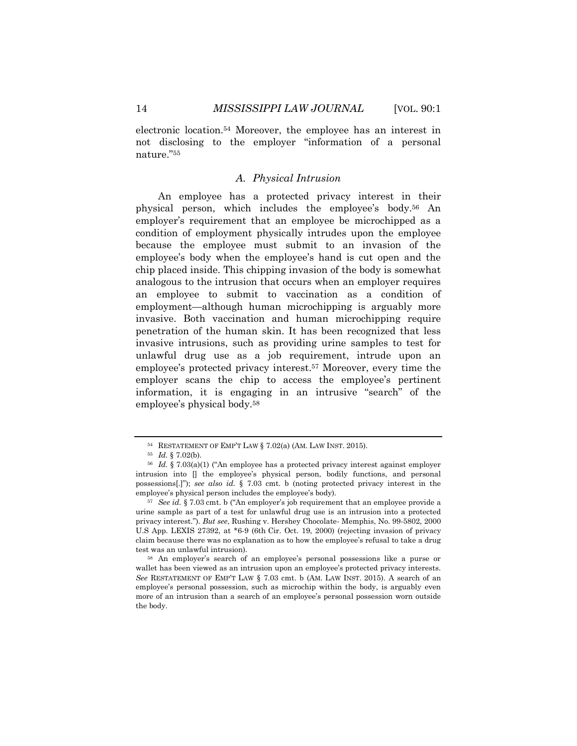electronic location.<sup>54</sup> Moreover, the employee has an interest in not disclosing to the employer "information of a personal nature."<sup>55</sup>

## *A. Physical Intrusion*

An employee has a protected privacy interest in their physical person, which includes the employee's body.<sup>56</sup> An employer's requirement that an employee be microchipped as a condition of employment physically intrudes upon the employee because the employee must submit to an invasion of the employee's body when the employee's hand is cut open and the chip placed inside. This chipping invasion of the body is somewhat analogous to the intrusion that occurs when an employer requires an employee to submit to vaccination as a condition of employment—although human microchipping is arguably more invasive. Both vaccination and human microchipping require penetration of the human skin. It has been recognized that less invasive intrusions, such as providing urine samples to test for unlawful drug use as a job requirement, intrude upon an employee's protected privacy interest.<sup>57</sup> Moreover, every time the employer scans the chip to access the employee's pertinent information, it is engaging in an intrusive "search" of the employee's physical body.<sup>58</sup>

<sup>54</sup> RESTATEMENT OF EMP'T LAW § 7.02(a) (AM. LAW INST. 2015).

<sup>55</sup> *Id.* § 7.02(b).

<sup>56</sup> *Id.* § 7.03(a)(1) ("An employee has a protected privacy interest against employer intrusion into [] the employee's physical person, bodily functions, and personal possessions[.]"); *see also id.* § 7.03 cmt. b (noting protected privacy interest in the employee's physical person includes the employee's body).

<sup>57</sup> *See id.* § 7.03 cmt. b ("An employer's job requirement that an employee provide a urine sample as part of a test for unlawful drug use is an intrusion into a protected privacy interest."). *But see*, Rushing v. Hershey Chocolate- Memphis, No. 99-5802, 2000 U.S App. LEXIS 27392, at \*6-9 (6th Cir. Oct. 19, 2000) (rejecting invasion of privacy claim because there was no explanation as to how the employee's refusal to take a drug test was an unlawful intrusion).

<sup>58</sup> An employer's search of an employee's personal possessions like a purse or wallet has been viewed as an intrusion upon an employee's protected privacy interests. *See* RESTATEMENT OF EMP'T LAW § 7.03 cmt. b (AM. LAW INST. 2015). A search of an employee's personal possession, such as microchip within the body, is arguably even more of an intrusion than a search of an employee's personal possession worn outside the body.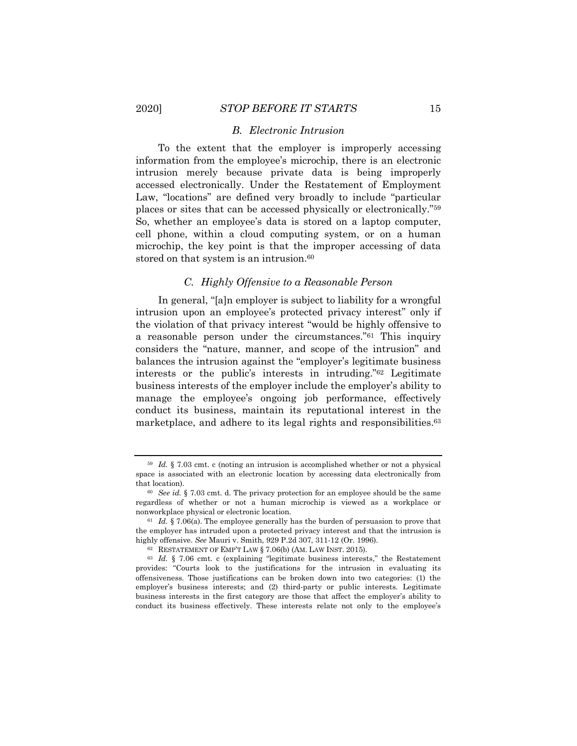## *B. Electronic Intrusion*

To the extent that the employer is improperly accessing information from the employee's microchip, there is an electronic intrusion merely because private data is being improperly accessed electronically. Under the Restatement of Employment Law, "locations" are defined very broadly to include "particular places or sites that can be accessed physically or electronically."<sup>59</sup> So, whether an employee's data is stored on a laptop computer, cell phone, within a cloud computing system, or on a human microchip, the key point is that the improper accessing of data stored on that system is an intrusion.<sup>60</sup>

## *C. Highly Offensive to a Reasonable Person*

In general, "[a]n employer is subject to liability for a wrongful intrusion upon an employee's protected privacy interest" only if the violation of that privacy interest "would be highly offensive to a reasonable person under the circumstances."<sup>61</sup> This inquiry considers the "nature, manner, and scope of the intrusion" and balances the intrusion against the "employer's legitimate business interests or the public's interests in intruding."<sup>62</sup> Legitimate business interests of the employer include the employer's ability to manage the employee's ongoing job performance, effectively conduct its business, maintain its reputational interest in the marketplace, and adhere to its legal rights and responsibilities.<sup>63</sup>

<sup>59</sup> *Id.* § 7.03 cmt. c (noting an intrusion is accomplished whether or not a physical space is associated with an electronic location by accessing data electronically from that location).

<sup>60</sup> *See id.* § 7.03 cmt. d. The privacy protection for an employee should be the same regardless of whether or not a human microchip is viewed as a workplace or nonworkplace physical or electronic location.

<sup>61</sup> *Id.* § 7.06(a). The employee generally has the burden of persuasion to prove that the employer has intruded upon a protected privacy interest and that the intrusion is highly offensive. *See* Mauri v. Smith, 929 P.2d 307, 311-12 (Or. 1996).

<sup>62</sup> RESTATEMENT OF EMP'T LAW § 7.06(b) (AM. LAW INST. 2015).

<sup>63</sup> *Id.* § 7.06 cmt. c (explaining "legitimate business interests," the Restatement provides: "Courts look to the justifications for the intrusion in evaluating its offensiveness. Those justifications can be broken down into two categories: (1) the employer's business interests; and (2) third-party or public interests. Legitimate business interests in the first category are those that affect the employer's ability to conduct its business effectively. These interests relate not only to the employee's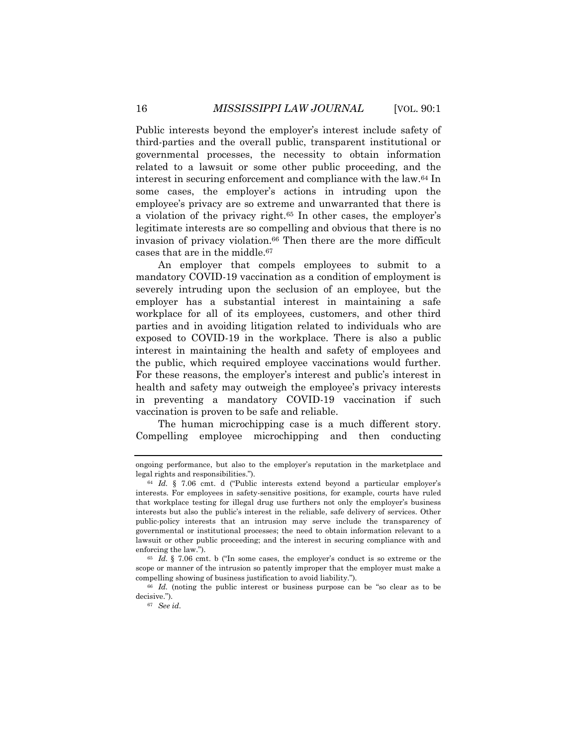Public interests beyond the employer's interest include safety of third-parties and the overall public, transparent institutional or governmental processes, the necessity to obtain information related to a lawsuit or some other public proceeding, and the interest in securing enforcement and compliance with the law.<sup>64</sup> In some cases, the employer's actions in intruding upon the employee's privacy are so extreme and unwarranted that there is a violation of the privacy right.<sup>65</sup> In other cases, the employer's legitimate interests are so compelling and obvious that there is no invasion of privacy violation.<sup>66</sup> Then there are the more difficult cases that are in the middle.<sup>67</sup>

An employer that compels employees to submit to a mandatory COVID-19 vaccination as a condition of employment is severely intruding upon the seclusion of an employee, but the employer has a substantial interest in maintaining a safe workplace for all of its employees, customers, and other third parties and in avoiding litigation related to individuals who are exposed to COVID-19 in the workplace. There is also a public interest in maintaining the health and safety of employees and the public, which required employee vaccinations would further. For these reasons, the employer's interest and public's interest in health and safety may outweigh the employee's privacy interests in preventing a mandatory COVID-19 vaccination if such vaccination is proven to be safe and reliable.

The human microchipping case is a much different story. Compelling employee microchipping and then conducting

ongoing performance, but also to the employer's reputation in the marketplace and legal rights and responsibilities.").

<sup>64</sup> *Id.* § 7.06 cmt. d ("Public interests extend beyond a particular employer's interests. For employees in safety-sensitive positions, for example, courts have ruled that workplace testing for illegal drug use furthers not only the employer's business interests but also the public's interest in the reliable, safe delivery of services. Other public-policy interests that an intrusion may serve include the transparency of governmental or institutional processes; the need to obtain information relevant to a lawsuit or other public proceeding; and the interest in securing compliance with and enforcing the law.").

<sup>65</sup> *Id.* § 7.06 cmt. b ("In some cases, the employer's conduct is so extreme or the scope or manner of the intrusion so patently improper that the employer must make a compelling showing of business justification to avoid liability.").

<sup>66</sup> *Id.* (noting the public interest or business purpose can be "so clear as to be decisive.").

<sup>67</sup> *See id.*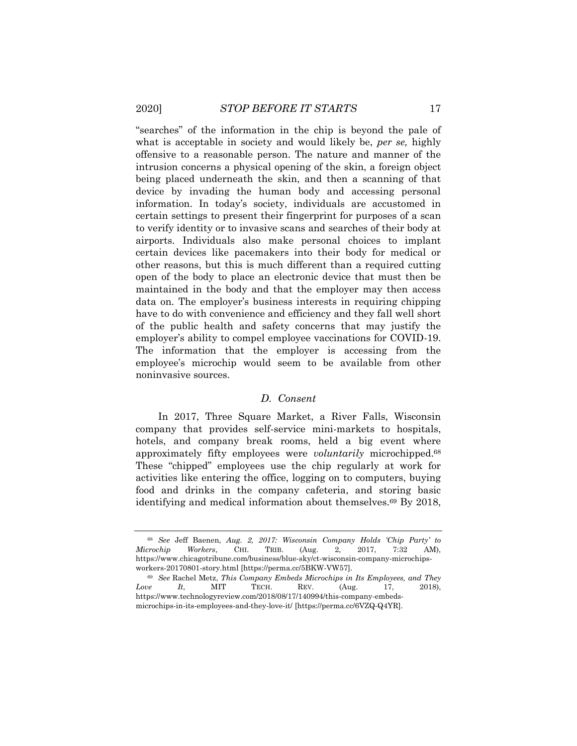"searches" of the information in the chip is beyond the pale of what is acceptable in society and would likely be, *per se,* highly offensive to a reasonable person. The nature and manner of the intrusion concerns a physical opening of the skin, a foreign object being placed underneath the skin, and then a scanning of that device by invading the human body and accessing personal information. In today's society, individuals are accustomed in certain settings to present their fingerprint for purposes of a scan to verify identity or to invasive scans and searches of their body at airports. Individuals also make personal choices to implant certain devices like pacemakers into their body for medical or other reasons, but this is much different than a required cutting open of the body to place an electronic device that must then be maintained in the body and that the employer may then access data on. The employer's business interests in requiring chipping have to do with convenience and efficiency and they fall well short of the public health and safety concerns that may justify the employer's ability to compel employee vaccinations for COVID-19. The information that the employer is accessing from the employee's microchip would seem to be available from other noninvasive sources.

## *D. Consent*

In 2017, Three Square Market, a River Falls, Wisconsin company that provides self-service mini-markets to hospitals, hotels, and company break rooms, held a big event where approximately fifty employees were *voluntarily* microchipped.<sup>68</sup> These "chipped" employees use the chip regularly at work for activities like entering the office, logging on to computers, buying food and drinks in the company cafeteria, and storing basic identifying and medical information about themselves.<sup>69</sup> By 2018,

<sup>68</sup> *See* Jeff Baenen, *Aug. 2, 2017: Wisconsin Company Holds 'Chip Party' to Microchip Workers*, CHI. TRIB. (Aug. 2, 2017, 7:32 AM), https://www.chicagotribune.com/business/blue-sky/ct-wisconsin-company-microchipsworkers-20170801-story.html [https://perma.cc/5BKW-VW57].

<sup>69</sup> *See* Rachel Metz, *This Company Embeds Microchips in Its Employees, and They Love It*, MIT TECH. REV. (Aug. 17, 2018), https://www.technologyreview.com/2018/08/17/140994/this-company-embedsmicrochips-in-its-employees-and-they-love-it/ [https://perma.cc/6VZQ-Q4YR].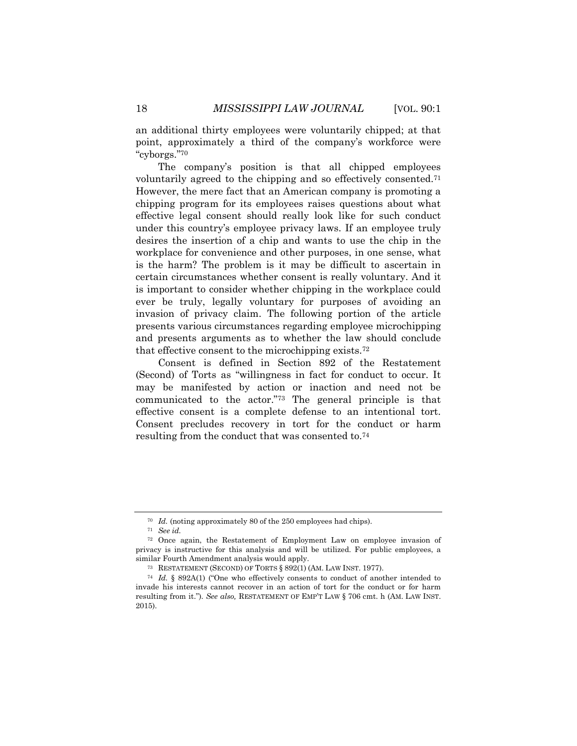an additional thirty employees were voluntarily chipped; at that point, approximately a third of the company's workforce were "cyborgs."<sup>70</sup>

The company's position is that all chipped employees voluntarily agreed to the chipping and so effectively consented.<sup>71</sup> However, the mere fact that an American company is promoting a chipping program for its employees raises questions about what effective legal consent should really look like for such conduct under this country's employee privacy laws. If an employee truly desires the insertion of a chip and wants to use the chip in the workplace for convenience and other purposes, in one sense, what is the harm? The problem is it may be difficult to ascertain in certain circumstances whether consent is really voluntary. And it is important to consider whether chipping in the workplace could ever be truly, legally voluntary for purposes of avoiding an invasion of privacy claim. The following portion of the article presents various circumstances regarding employee microchipping and presents arguments as to whether the law should conclude that effective consent to the microchipping exists.<sup>72</sup>

Consent is defined in Section 892 of the Restatement (Second) of Torts as "willingness in fact for conduct to occur. It may be manifested by action or inaction and need not be communicated to the actor."<sup>73</sup> The general principle is that effective consent is a complete defense to an intentional tort. Consent precludes recovery in tort for the conduct or harm resulting from the conduct that was consented to.<sup>74</sup>

<sup>70</sup> *Id.* (noting approximately 80 of the 250 employees had chips).

<sup>71</sup> *See id.*

<sup>72</sup> Once again, the Restatement of Employment Law on employee invasion of privacy is instructive for this analysis and will be utilized. For public employees, a similar Fourth Amendment analysis would apply.

<sup>73</sup> RESTATEMENT (SECOND) OF TORTS § 892(1) (AM. LAW INST. 1977).

<sup>74</sup> *Id.* § 892A(1) ("One who effectively consents to conduct of another intended to invade his interests cannot recover in an action of tort for the conduct or for harm resulting from it."). *See also,* RESTATEMENT OF EMP'T LAW § 706 cmt. h (AM. LAW INST. 2015).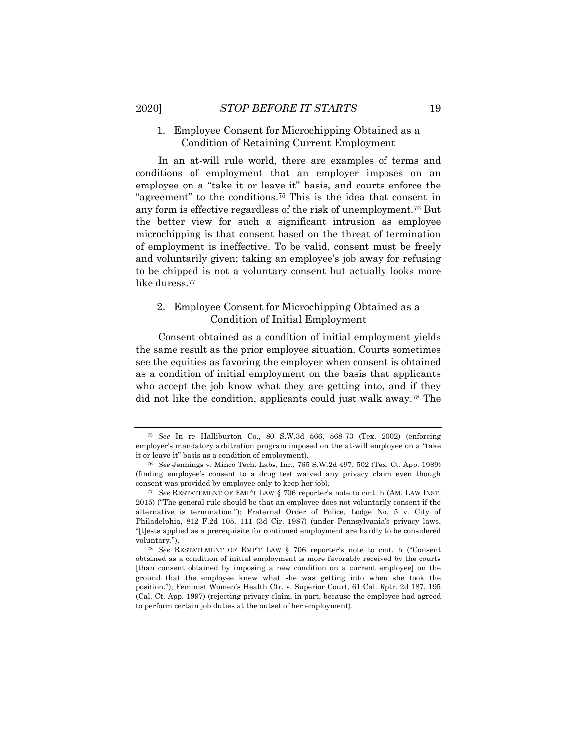## 1. Employee Consent for Microchipping Obtained as a Condition of Retaining Current Employment

In an at-will rule world, there are examples of terms and conditions of employment that an employer imposes on an employee on a "take it or leave it" basis, and courts enforce the "agreement" to the conditions.<sup>75</sup> This is the idea that consent in any form is effective regardless of the risk of unemployment.<sup>76</sup> But the better view for such a significant intrusion as employee microchipping is that consent based on the threat of termination of employment is ineffective. To be valid, consent must be freely and voluntarily given; taking an employee's job away for refusing to be chipped is not a voluntary consent but actually looks more like duress.<sup>77</sup>

# 2. Employee Consent for Microchipping Obtained as a Condition of Initial Employment

Consent obtained as a condition of initial employment yields the same result as the prior employee situation. Courts sometimes see the equities as favoring the employer when consent is obtained as a condition of initial employment on the basis that applicants who accept the job know what they are getting into, and if they did not like the condition, applicants could just walk away.<sup>78</sup> The

<sup>75</sup> *See* In re Halliburton Co., 80 S.W.3d 566, 568-73 (Tex. 2002) (enforcing employer's mandatory arbitration program imposed on the at-will employee on a "take it or leave it" basis as a condition of employment).

<sup>76</sup> *See* Jennings v. Minco Tech. Labs, Inc., 765 S.W.2d 497, 502 (Tex. Ct. App. 1989) (finding employee's consent to a drug test waived any privacy claim even though consent was provided by employee only to keep her job).

<sup>77</sup> *See* RESTATEMENT OF EMP'T LAW § 706 reporter's note to cmt. h (AM. LAW INST. 2015) ("The general rule should be that an employee does not voluntarily consent if the alternative is termination."); Fraternal Order of Police, Lodge No. 5 v. City of Philadelphia, 812 F.2d 105, 111 (3d Cir. 1987) (under Pennsylvania's privacy laws, "[t]ests applied as a prerequisite for continued employment are hardly to be considered voluntary.").

<sup>78</sup> *See* RESTATEMENT OF EMP'T LAW § 706 reporter's note to cmt. h ("Consent obtained as a condition of initial employment is more favorably received by the courts [than consent obtained by imposing a new condition on a current employee] on the ground that the employee knew what she was getting into when she took the position."); Feminist Women's Health Ctr. v. Superior Court, 61 Cal. Rptr. 2d 187, 195 (Cal. Ct. App. 1997) (rejecting privacy claim, in part, because the employee had agreed to perform certain job duties at the outset of her employment).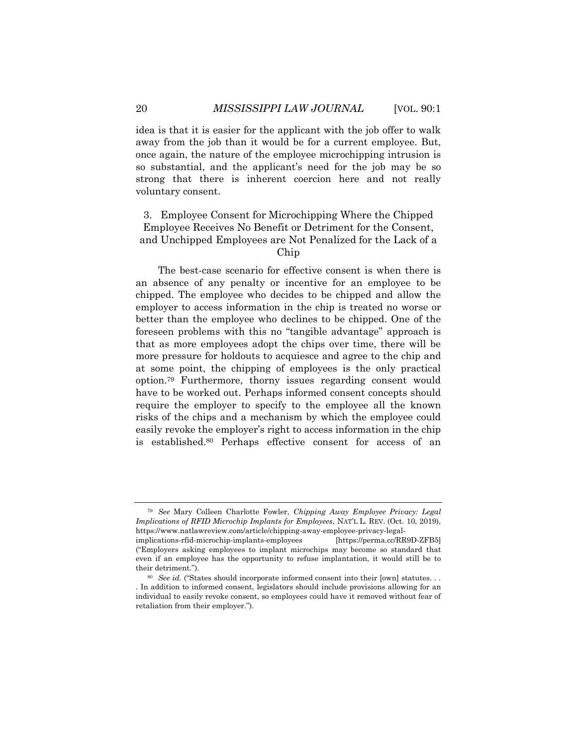idea is that it is easier for the applicant with the job offer to walk away from the job than it would be for a current employee. But, once again, the nature of the employee microchipping intrusion is so substantial, and the applicant's need for the job may be so strong that there is inherent coercion here and not really voluntary consent.

# 3. Employee Consent for Microchipping Where the Chipped Employee Receives No Benefit or Detriment for the Consent, and Unchipped Employees are Not Penalized for the Lack of a Chip

The best-case scenario for effective consent is when there is an absence of any penalty or incentive for an employee to be chipped. The employee who decides to be chipped and allow the employer to access information in the chip is treated no worse or better than the employee who declines to be chipped. One of the foreseen problems with this no "tangible advantage" approach is that as more employees adopt the chips over time, there will be more pressure for holdouts to acquiesce and agree to the chip and at some point, the chipping of employees is the only practical option.<sup>79</sup> Furthermore, thorny issues regarding consent would have to be worked out. Perhaps informed consent concepts should require the employer to specify to the employee all the known risks of the chips and a mechanism by which the employee could easily revoke the employer's right to access information in the chip is established.<sup>80</sup> Perhaps effective consent for access of an

<sup>79</sup> *See* Mary Colleen Charlotte Fowler, *Chipping Away Employee Privacy: Legal Implications of RFID Microchip Implants for Employees*, NAT'L L. REV. (Oct. 10, 2019), https://www.natlawreview.com/article/chipping-away-employee-privacy-legalimplications-rfid-microchip-implants-employees [https://perma.cc/RR9D-ZFB5]

<sup>(&</sup>quot;Employers asking employees to implant microchips may become so standard that even if an employee has the opportunity to refuse implantation, it would still be to their detriment.").

<sup>80</sup> *See id.* ("States should incorporate informed consent into their [own] statutes. . . . In addition to informed consent, legislators should include provisions allowing for an individual to easily revoke consent, so employees could have it removed without fear of retaliation from their employer.").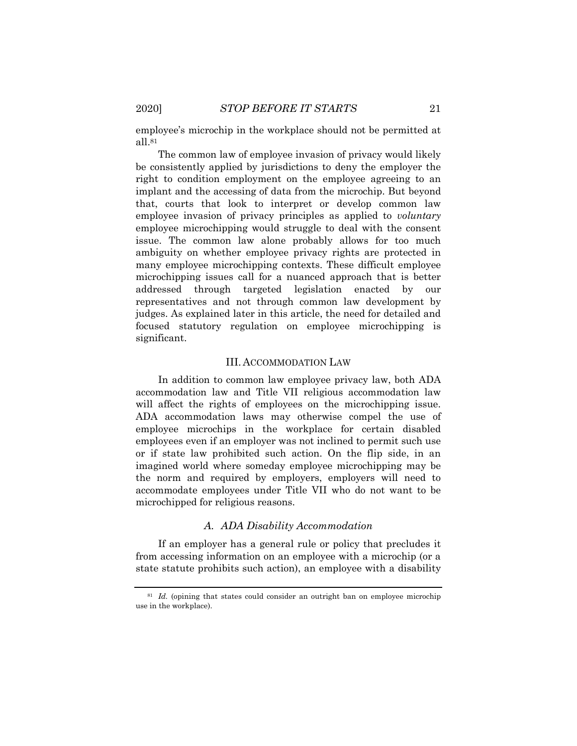employee's microchip in the workplace should not be permitted at all  $81$ 

The common law of employee invasion of privacy would likely be consistently applied by jurisdictions to deny the employer the right to condition employment on the employee agreeing to an implant and the accessing of data from the microchip. But beyond that, courts that look to interpret or develop common law employee invasion of privacy principles as applied to *voluntary* employee microchipping would struggle to deal with the consent issue. The common law alone probably allows for too much ambiguity on whether employee privacy rights are protected in many employee microchipping contexts. These difficult employee microchipping issues call for a nuanced approach that is better addressed through targeted legislation enacted by our representatives and not through common law development by judges. As explained later in this article, the need for detailed and focused statutory regulation on employee microchipping is significant.

#### III. ACCOMMODATION LAW

In addition to common law employee privacy law, both ADA accommodation law and Title VII religious accommodation law will affect the rights of employees on the microchipping issue. ADA accommodation laws may otherwise compel the use of employee microchips in the workplace for certain disabled employees even if an employer was not inclined to permit such use or if state law prohibited such action. On the flip side, in an imagined world where someday employee microchipping may be the norm and required by employers, employers will need to accommodate employees under Title VII who do not want to be microchipped for religious reasons.

## *A. ADA Disability Accommodation*

If an employer has a general rule or policy that precludes it from accessing information on an employee with a microchip (or a state statute prohibits such action), an employee with a disability

<sup>&</sup>lt;sup>81</sup> *Id.* (opining that states could consider an outright ban on employee microchip use in the workplace).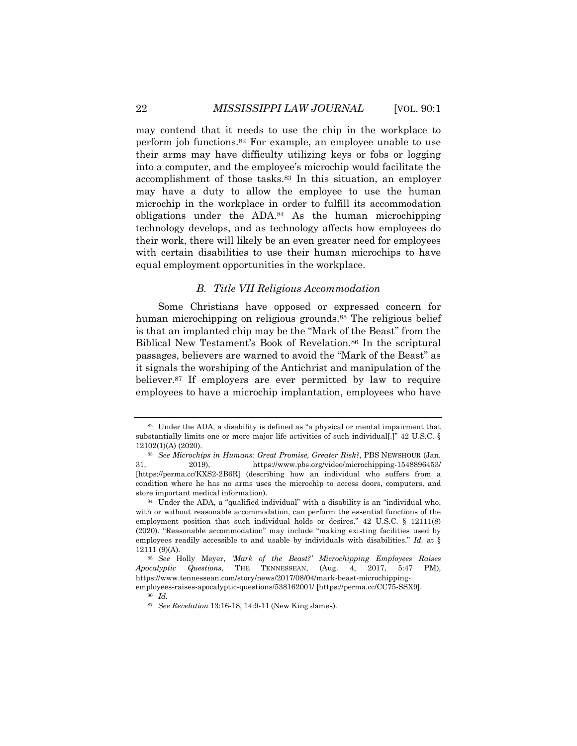may contend that it needs to use the chip in the workplace to perform job functions.<sup>82</sup> For example, an employee unable to use their arms may have difficulty utilizing keys or fobs or logging into a computer, and the employee's microchip would facilitate the accomplishment of those tasks.<sup>83</sup> In this situation, an employer may have a duty to allow the employee to use the human microchip in the workplace in order to fulfill its accommodation obligations under the  $ADA<sup>84</sup>$  As the human microchipping technology develops, and as technology affects how employees do their work, there will likely be an even greater need for employees with certain disabilities to use their human microchips to have equal employment opportunities in the workplace.

### *B. Title VII Religious Accommodation*

Some Christians have opposed or expressed concern for human microchipping on religious grounds.<sup>85</sup> The religious belief is that an implanted chip may be the "Mark of the Beast" from the Biblical New Testament's Book of Revelation.<sup>86</sup> In the scriptural passages, believers are warned to avoid the "Mark of the Beast" as it signals the worshiping of the Antichrist and manipulation of the believer.<sup>87</sup> If employers are ever permitted by law to require employees to have a microchip implantation, employees who have

<sup>82</sup> Under the ADA, a disability is defined as "a physical or mental impairment that substantially limits one or more major life activities of such individual[.]" 42 U.S.C. § 12102(1)(A) (2020).

<sup>83</sup> *See Microchips in Humans: Great Promise, Greater Risk?*, PBS NEWSHOUR (Jan. 31, 2019), https://www.pbs.org/video/microchipping-1548896453/ [https://perma.cc/KXS2-2B6R] (describing how an individual who suffers from a condition where he has no arms uses the microchip to access doors, computers, and store important medical information).

<sup>84</sup> Under the ADA, a "qualified individual" with a disability is an "individual who, with or without reasonable accommodation, can perform the essential functions of the employment position that such individual holds or desires." 42 U.S.C. § 12111(8) (2020). "Reasonable accommodation" may include "making existing facilities used by employees readily accessible to and usable by individuals with disabilities." *Id.* at § 12111 (9)(A).

<sup>85</sup> *See* Holly Meyer, *'Mark of the Beast?' Microchipping Employees Raises Apocalyptic Questions*, THE TENNESSEAN, (Aug. 4, 2017, 5:47 PM), https://www.tennessean.com/story/news/2017/08/04/mark-beast-microchippingemployees-raises-apocalyptic-questions/538162001/ [https://perma.cc/CC75-SSX9].

<sup>86</sup> *Id.*

<sup>87</sup> *See Revelation* 13:16-18, 14:9-11 (New King James).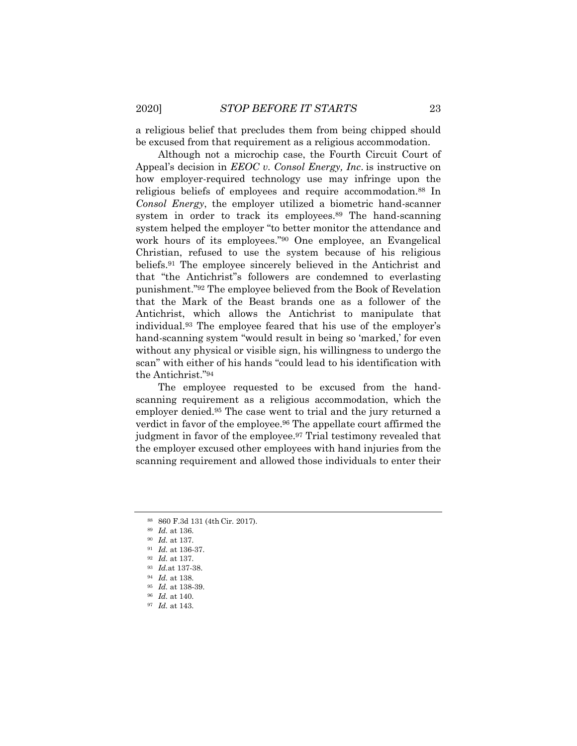a religious belief that precludes them from being chipped should be excused from that requirement as a religious accommodation.

Although not a microchip case, the Fourth Circuit Court of Appeal's decision in *EEOC v. Consol Energy, Inc*. is instructive on how employer-required technology use may infringe upon the religious beliefs of employees and require accommodation.<sup>88</sup> In *Consol Energy*, the employer utilized a biometric hand-scanner system in order to track its employees.<sup>89</sup> The hand-scanning system helped the employer "to better monitor the attendance and work hours of its employees."<sup>90</sup> One employee, an Evangelical Christian, refused to use the system because of his religious beliefs.<sup>91</sup> The employee sincerely believed in the Antichrist and that "the Antichrist''s followers are condemned to everlasting punishment."<sup>92</sup> The employee believed from the Book of Revelation that the Mark of the Beast brands one as a follower of the Antichrist, which allows the Antichrist to manipulate that individual.<sup>93</sup> The employee feared that his use of the employer's hand-scanning system "would result in being so 'marked,' for even without any physical or visible sign, his willingness to undergo the scan" with either of his hands "could lead to his identification with the Antichrist."<sup>94</sup>

The employee requested to be excused from the handscanning requirement as a religious accommodation, which the employer denied.<sup>95</sup> The case went to trial and the jury returned a verdict in favor of the employee.<sup>96</sup> The appellate court affirmed the judgment in favor of the employee.<sup>97</sup> Trial testimony revealed that the employer excused other employees with hand injuries from the scanning requirement and allowed those individuals to enter their

<sup>88</sup> 860 F.3d 131 (4th Cir. 2017).

<sup>89</sup> *Id.* at 136.

<sup>90</sup> *Id.* at 137.

<sup>91</sup> *Id.* at 136-37.

<sup>92</sup> *Id.* at 137.

<sup>93</sup> *Id.*at 137-38.

<sup>94</sup> *Id.* at 138.

<sup>95</sup> *Id.* at 138-39.

<sup>96</sup> *Id.* at 140.

<sup>97</sup> *Id.* at 143.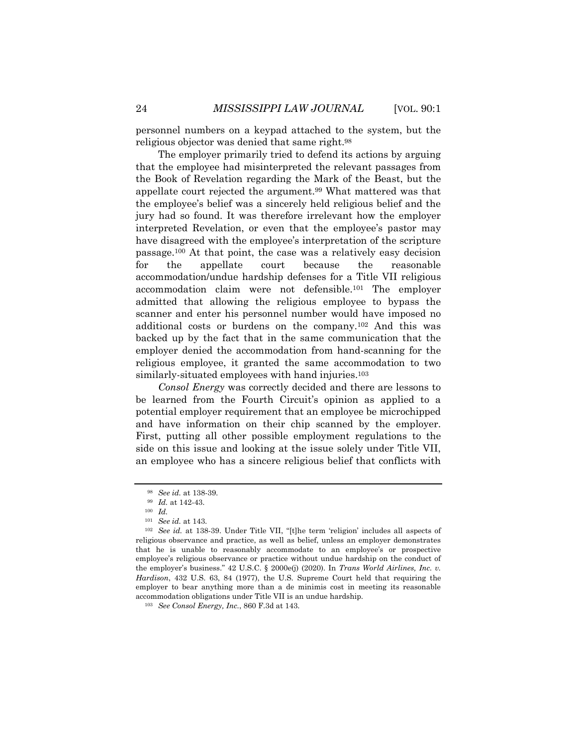personnel numbers on a keypad attached to the system, but the religious objector was denied that same right.<sup>98</sup>

The employer primarily tried to defend its actions by arguing that the employee had misinterpreted the relevant passages from the Book of Revelation regarding the Mark of the Beast, but the appellate court rejected the argument.<sup>99</sup> What mattered was that the employee's belief was a sincerely held religious belief and the jury had so found. It was therefore irrelevant how the employer interpreted Revelation, or even that the employee's pastor may have disagreed with the employee's interpretation of the scripture passage.<sup>100</sup> At that point, the case was a relatively easy decision for the appellate court because the reasonable accommodation/undue hardship defenses for a Title VII religious accommodation claim were not defensible.<sup>101</sup> The employer admitted that allowing the religious employee to bypass the scanner and enter his personnel number would have imposed no additional costs or burdens on the company.<sup>102</sup> And this was backed up by the fact that in the same communication that the employer denied the accommodation from hand-scanning for the religious employee, it granted the same accommodation to two similarly-situated employees with hand injuries.<sup>103</sup>

*Consol Energy* was correctly decided and there are lessons to be learned from the Fourth Circuit's opinion as applied to a potential employer requirement that an employee be microchipped and have information on their chip scanned by the employer. First, putting all other possible employment regulations to the side on this issue and looking at the issue solely under Title VII, an employee who has a sincere religious belief that conflicts with

<sup>98</sup> *See id.* at 138-39.

<sup>99</sup> *Id.* at 142-43.

<sup>100</sup> *Id.*

<sup>101</sup> *See id.* at 143.

<sup>102</sup> *See id.* at 138-39. Under Title VII, "[t]he term 'religion' includes all aspects of religious observance and practice, as well as belief, unless an employer demonstrates that he is unable to reasonably accommodate to an employee's or prospective employee's religious observance or practice without undue hardship on the conduct of the employer's business." 42 U.S.C. § 2000e(j) (2020). In *Trans World Airlines, Inc. v. Hardison*, 432 U.S. 63, 84 (1977), the U.S. Supreme Court held that requiring the employer to bear anything more than a de minimis cost in meeting its reasonable accommodation obligations under Title VII is an undue hardship.

<sup>103</sup> *See Consol Energy, Inc.*, 860 F.3d at 143.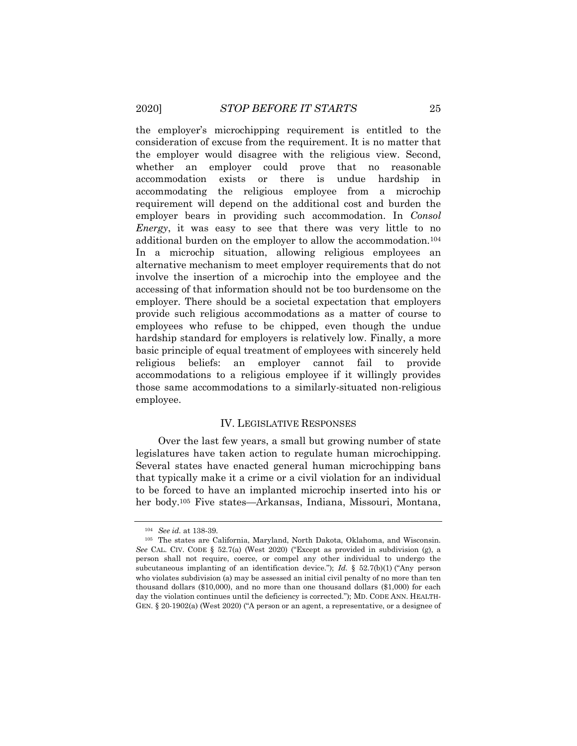the employer's microchipping requirement is entitled to the consideration of excuse from the requirement. It is no matter that the employer would disagree with the religious view. Second, whether an employer could prove that no reasonable accommodation exists or there is undue hardship in accommodating the religious employee from a microchip requirement will depend on the additional cost and burden the employer bears in providing such accommodation. In *Consol Energy*, it was easy to see that there was very little to no additional burden on the employer to allow the accommodation.<sup>104</sup> In a microchip situation, allowing religious employees an alternative mechanism to meet employer requirements that do not involve the insertion of a microchip into the employee and the accessing of that information should not be too burdensome on the employer. There should be a societal expectation that employers provide such religious accommodations as a matter of course to employees who refuse to be chipped, even though the undue hardship standard for employers is relatively low. Finally, a more basic principle of equal treatment of employees with sincerely held religious beliefs: an employer cannot fail to provide accommodations to a religious employee if it willingly provides those same accommodations to a similarly-situated non-religious employee.

## IV. LEGISLATIVE RESPONSES

Over the last few years, a small but growing number of state legislatures have taken action to regulate human microchipping. Several states have enacted general human microchipping bans that typically make it a crime or a civil violation for an individual to be forced to have an implanted microchip inserted into his or her body.<sup>105</sup> Five states—Arkansas, Indiana, Missouri, Montana,

<sup>104</sup> *See id.* at 138-39.

<sup>105</sup> The states are California, Maryland, North Dakota, Oklahoma, and Wisconsin. *See* CAL. CIV. CODE § 52.7(a) (West 2020) ("Except as provided in subdivision (g), a person shall not require, coerce, or compel any other individual to undergo the subcutaneous implanting of an identification device."); *Id.* § 52.7(b)(1) ("Any person who violates subdivision (a) may be assessed an initial civil penalty of no more than ten thousand dollars (\$10,000), and no more than one thousand dollars (\$1,000) for each day the violation continues until the deficiency is corrected."); MD. CODE ANN. HEALTH-GEN. § 20-1902(a) (West 2020) ("A person or an agent, a representative, or a designee of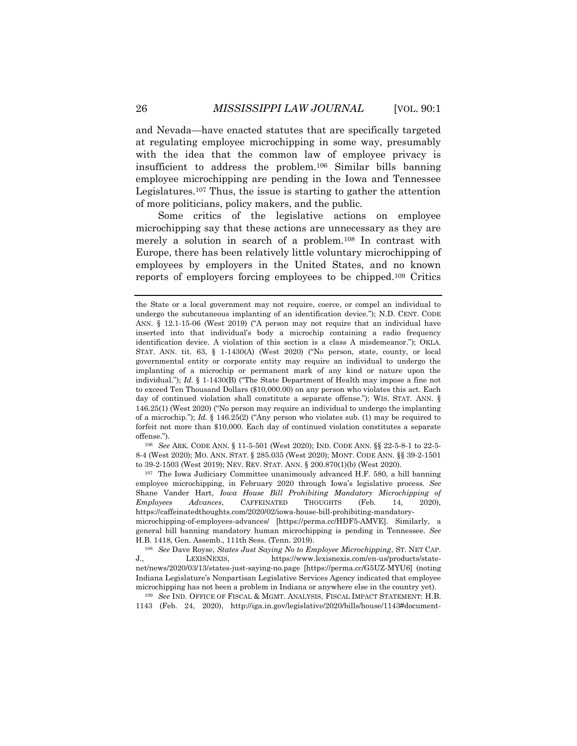and Nevada—have enacted statutes that are specifically targeted at regulating employee microchipping in some way, presumably with the idea that the common law of employee privacy is insufficient to address the problem.<sup>106</sup> Similar bills banning employee microchipping are pending in the Iowa and Tennessee Legislatures.<sup>107</sup> Thus, the issue is starting to gather the attention of more politicians, policy makers, and the public.

Some critics of the legislative actions on employee microchipping say that these actions are unnecessary as they are merely a solution in search of a problem.<sup>108</sup> In contrast with Europe, there has been relatively little voluntary microchipping of employees by employers in the United States, and no known reports of employers forcing employees to be chipped.<sup>109</sup> Critics

<sup>106</sup> *See* ARK. CODE ANN. § 11-5-501 (West 2020); IND. CODE ANN. §§ 22-5-8-1 to 22-5- 8-4 (West 2020); MO. ANN. STAT. § 285.035 (West 2020); MONT. CODE ANN. §§ 39-2-1501 to 39-2-1503 (West 2019); NEV. REV. STAT. ANN. § 200.870(1)(b) (West 2020).

<sup>107</sup> The Iowa Judiciary Committee unanimously advanced H.F. 580, a bill banning employee microchipping, in February 2020 through Iowa's legislative process. *See*  Shane Vander Hart, *Iowa House Bill Prohibiting Mandatory Microchipping of Employees Advances*, CAFFEINATED THOUGHTS (Feb. 14, 2020), https://caffeinatedthoughts.com/2020/02/iowa-house-bill-prohibiting-mandatorymicrochipping-of-employees-advances/ [https://perma.cc/HDF5-AMVE]. Similarly, a general bill banning mandatory human microchipping is pending in Tennessee. *See*  H.B. 1418, Gen. Assemb., 111th Sess. (Tenn. 2019).

<sup>108</sup> *See* Dave Royse, *States Just Saying No to Employee Microchipping*, ST. NET CAP. J., LEXISNEXIS, https://www.lexisnexis.com/en-us/products/statenet/news/2020/03/13/states-just-saying-no.page [https://perma.cc/G5UZ-MYU6] (noting Indiana Legislature's Nonpartisan Legislative Services Agency indicated that employee microchipping has not been a problem in Indiana or anywhere else in the country yet).

<sup>109</sup> *See* IND. OFFICE OF FISCAL & MGMT. ANALYSIS, FISCAL IMPACT STATEMENT: H.B. 1143 (Feb. 24, 2020), http://iga.in.gov/legislative/2020/bills/house/1143#document-

the State or a local government may not require, coerce, or compel an individual to undergo the subcutaneous implanting of an identification device."); N.D. CENT. CODE ANN. § 12.1-15-06 (West 2019) ("A person may not require that an individual have inserted into that individual's body a microchip containing a radio frequency identification device. A violation of this section is a class A misdemeanor."); OKLA. STAT. ANN. tit. 63, § 1-1430(A) (West 2020) ("No person, state, county, or local governmental entity or corporate entity may require an individual to undergo the implanting of a microchip or permanent mark of any kind or nature upon the individual."); *Id.* § 1-1430(B) ("The State Department of Health may impose a fine not to exceed Ten Thousand Dollars (\$10,000.00) on any person who violates this act. Each day of continued violation shall constitute a separate offense."); WIS. STAT. ANN. § 146.25(1) (West 2020) ("No person may require an individual to undergo the implanting of a microchip."); *Id.* § 146.25(2) ("Any person who violates sub. (1) may be required to forfeit not more than \$10,000. Each day of continued violation constitutes a separate offense.").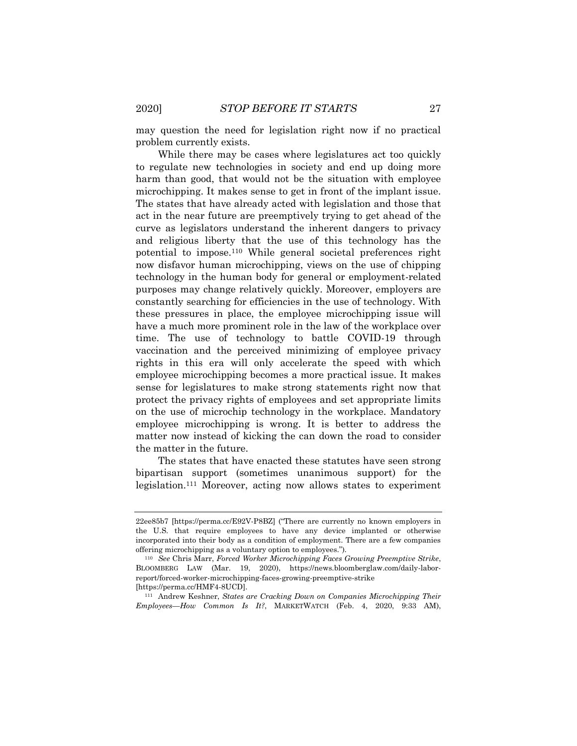may question the need for legislation right now if no practical problem currently exists.

While there may be cases where legislatures act too quickly to regulate new technologies in society and end up doing more harm than good, that would not be the situation with employee microchipping. It makes sense to get in front of the implant issue. The states that have already acted with legislation and those that act in the near future are preemptively trying to get ahead of the curve as legislators understand the inherent dangers to privacy and religious liberty that the use of this technology has the potential to impose.<sup>110</sup> While general societal preferences right now disfavor human microchipping, views on the use of chipping technology in the human body for general or employment-related purposes may change relatively quickly. Moreover, employers are constantly searching for efficiencies in the use of technology. With these pressures in place, the employee microchipping issue will have a much more prominent role in the law of the workplace over time. The use of technology to battle COVID-19 through vaccination and the perceived minimizing of employee privacy rights in this era will only accelerate the speed with which employee microchipping becomes a more practical issue. It makes sense for legislatures to make strong statements right now that protect the privacy rights of employees and set appropriate limits on the use of microchip technology in the workplace. Mandatory employee microchipping is wrong. It is better to address the matter now instead of kicking the can down the road to consider the matter in the future.

The states that have enacted these statutes have seen strong bipartisan support (sometimes unanimous support) for the legislation.<sup>111</sup> Moreover, acting now allows states to experiment

<sup>111</sup> Andrew Keshner, *States are Cracking Down on Companies Microchipping Their Employees—How Common Is It?*, MARKETWATCH (Feb. 4, 2020, 9:33 AM),

<sup>22</sup>ee85b7 [https://perma.cc/E92V-P8BZ] ("There are currently no known employers in the U.S. that require employees to have any device implanted or otherwise incorporated into their body as a condition of employment. There are a few companies offering microchipping as a voluntary option to employees.").

<sup>110</sup> *See* Chris Marr, *Forced Worker Microchipping Faces Growing Preemptive Strike*, BLOOMBERG LAW (Mar. 19, 2020), https://news.bloomberglaw.com/daily-laborreport/forced-worker-microchipping-faces-growing-preemptive-strike [https://perma.cc/HMF4-8UCD].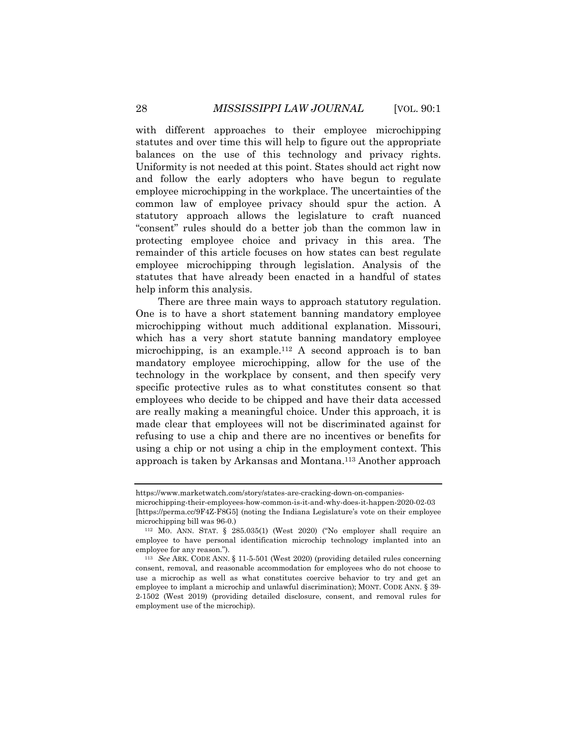with different approaches to their employee microchipping statutes and over time this will help to figure out the appropriate balances on the use of this technology and privacy rights. Uniformity is not needed at this point. States should act right now and follow the early adopters who have begun to regulate employee microchipping in the workplace. The uncertainties of the common law of employee privacy should spur the action. A statutory approach allows the legislature to craft nuanced "consent" rules should do a better job than the common law in protecting employee choice and privacy in this area. The remainder of this article focuses on how states can best regulate employee microchipping through legislation. Analysis of the statutes that have already been enacted in a handful of states help inform this analysis.

There are three main ways to approach statutory regulation. One is to have a short statement banning mandatory employee microchipping without much additional explanation. Missouri, which has a very short statute banning mandatory employee microchipping, is an example.<sup>112</sup> A second approach is to ban mandatory employee microchipping, allow for the use of the technology in the workplace by consent, and then specify very specific protective rules as to what constitutes consent so that employees who decide to be chipped and have their data accessed are really making a meaningful choice. Under this approach, it is made clear that employees will not be discriminated against for refusing to use a chip and there are no incentives or benefits for using a chip or not using a chip in the employment context. This approach is taken by Arkansas and Montana.<sup>113</sup> Another approach

https://www.marketwatch.com/story/states-are-cracking-down-on-companies-

microchipping-their-employees-how-common-is-it-and-why-does-it-happen-2020-02-03 [https://perma.cc/9F4Z-F8G5] (noting the Indiana Legislature's vote on their employee microchipping bill was 96-0.)

<sup>112</sup> MO. ANN. STAT. § 285.035(1) (West 2020) ("No employer shall require an employee to have personal identification microchip technology implanted into an employee for any reason.").

<sup>113</sup> *See* ARK. CODE ANN. § 11-5-501 (West 2020) (providing detailed rules concerning consent, removal, and reasonable accommodation for employees who do not choose to use a microchip as well as what constitutes coercive behavior to try and get an employee to implant a microchip and unlawful discrimination); MONT. CODE ANN. § 39- 2-1502 (West 2019) (providing detailed disclosure, consent, and removal rules for employment use of the microchip).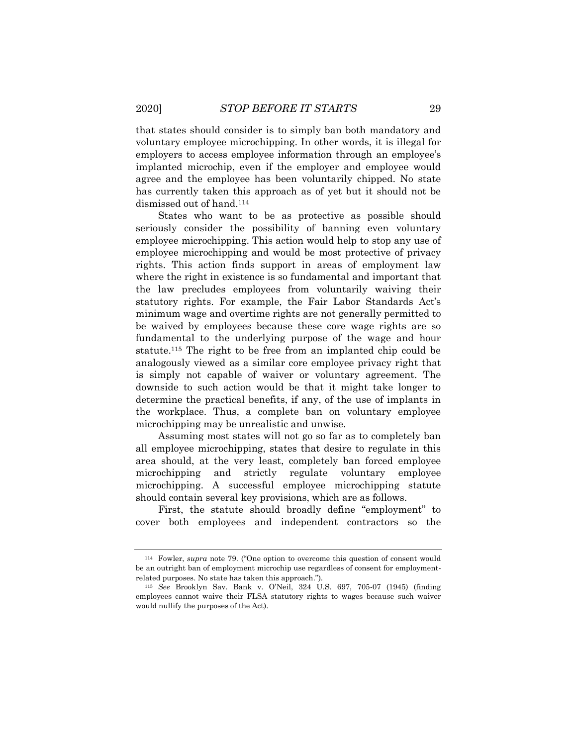that states should consider is to simply ban both mandatory and voluntary employee microchipping. In other words, it is illegal for employers to access employee information through an employee's implanted microchip, even if the employer and employee would agree and the employee has been voluntarily chipped. No state has currently taken this approach as of yet but it should not be dismissed out of hand.<sup>114</sup>

States who want to be as protective as possible should seriously consider the possibility of banning even voluntary employee microchipping. This action would help to stop any use of employee microchipping and would be most protective of privacy rights. This action finds support in areas of employment law where the right in existence is so fundamental and important that the law precludes employees from voluntarily waiving their statutory rights. For example, the Fair Labor Standards Act's minimum wage and overtime rights are not generally permitted to be waived by employees because these core wage rights are so fundamental to the underlying purpose of the wage and hour statute.<sup>115</sup> The right to be free from an implanted chip could be analogously viewed as a similar core employee privacy right that is simply not capable of waiver or voluntary agreement. The downside to such action would be that it might take longer to determine the practical benefits, if any, of the use of implants in the workplace. Thus, a complete ban on voluntary employee microchipping may be unrealistic and unwise.

Assuming most states will not go so far as to completely ban all employee microchipping, states that desire to regulate in this area should, at the very least, completely ban forced employee microchipping and strictly regulate voluntary employee microchipping. A successful employee microchipping statute should contain several key provisions, which are as follows.

First, the statute should broadly define "employment" to cover both employees and independent contractors so the

<sup>114</sup> Fowler, *supra* note 79. ("One option to overcome this question of consent would be an outright ban of employment microchip use regardless of consent for employmentrelated purposes. No state has taken this approach.").

<sup>115</sup> *See* Brooklyn Sav. Bank v. O'Neil, 324 U.S. 697, 705-07 (1945) (finding employees cannot waive their FLSA statutory rights to wages because such waiver would nullify the purposes of the Act).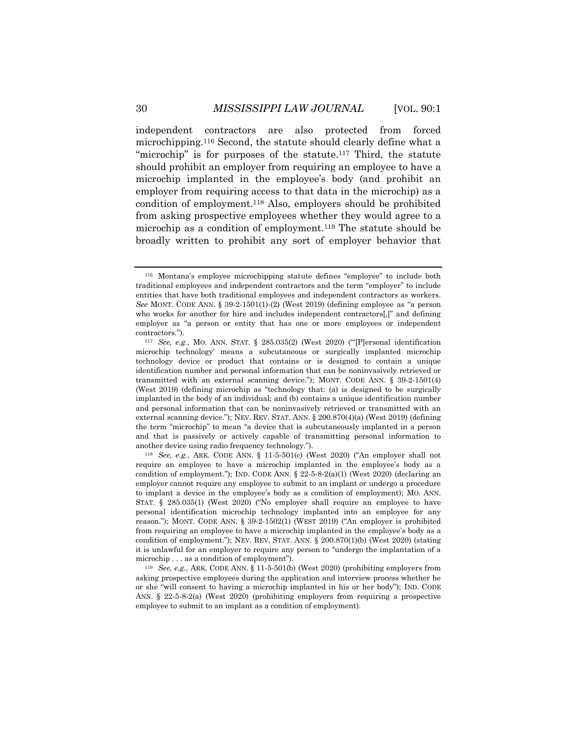independent contractors are also protected from forced microchipping.<sup>116</sup> Second, the statute should clearly define what a "microchip" is for purposes of the statute.<sup>117</sup> Third, the statute should prohibit an employer from requiring an employee to have a microchip implanted in the employee's body (and prohibit an employer from requiring access to that data in the microchip) as a condition of employment.<sup>118</sup> Also, employers should be prohibited from asking prospective employees whether they would agree to a microchip as a condition of employment.<sup>119</sup> The statute should be

broadly written to prohibit any sort of employer behavior that

<sup>118</sup> *See, e.g.*, ARK. CODE ANN. § 11-5-501(c) (West 2020) ("An employer shall not require an employee to have a microchip implanted in the employee's body as a condition of employment."); IND. CODE ANN.  $\S$  22-5-8-2(a)(1) (West 2020) (declaring an employer cannot require any employee to submit to an implant or undergo a procedure to implant a device in the employee's body as a condition of employment); MO. ANN. STAT. § 285.035(1) (West 2020) ("No employer shall require an employee to have personal identification microchip technology implanted into an employee for any reason."); MONT. CODE ANN. § 39-2-1502(1) (WEST 2019) ("An employer is prohibited from requiring an employee to have a microchip implanted in the employee's body as a condition of employment."); NEV. REV. STAT. ANN. § 200.870(1)(b) (West 2020) (stating it is unlawful for an employer to require any person to "undergo the implantation of a microchip . . . as a condition of employment").

<sup>119</sup> *See, e.g.*, ARK. CODE ANN. § 11-5-501(b) (West 2020) (prohibiting employers from asking prospective employees during the application and interview process whether he or she "will consent to having a microchip implanted in his or her body"); IND. CODE ANN. § 22-5-8-2(a) (West 2020) (prohibiting employers from requiring a prospective employee to submit to an implant as a condition of employment).

<sup>116</sup> Montana's employee microchipping statute defines "employee" to include both traditional employees and independent contractors and the term "employer" to include entities that have both traditional employees and independent contractors as workers. *See* MONT. CODE ANN. § 39-2-1501(1)-(2) (West 2019) (defining employee as "a person who works for another for hire and includes independent contractors[,]" and defining employer as "a person or entity that has one or more employees or independent contractors.").

<sup>117</sup> *See, e.g.*, MO. ANN. STAT. § 285.035(2) (West 2020) ("'[P]ersonal identification microchip technology' means a subcutaneous or surgically implanted microchip technology device or product that contains or is designed to contain a unique identification number and personal information that can be noninvasively retrieved or transmitted with an external scanning device."); MONT. CODE ANN. § 39-2-1501(4) (West 2019) (defining microchip as "technology that: (a) is designed to be surgically implanted in the body of an individual; and (b) contains a unique identification number and personal information that can be noninvasively retrieved or transmitted with an external scanning device."); NEV. REV. STAT. ANN. § 200.870(4)(a) (West 2019) (defining the term "microchip" to mean "a device that is subcutaneously implanted in a person and that is passively or actively capable of transmitting personal information to another device using radio frequency technology.").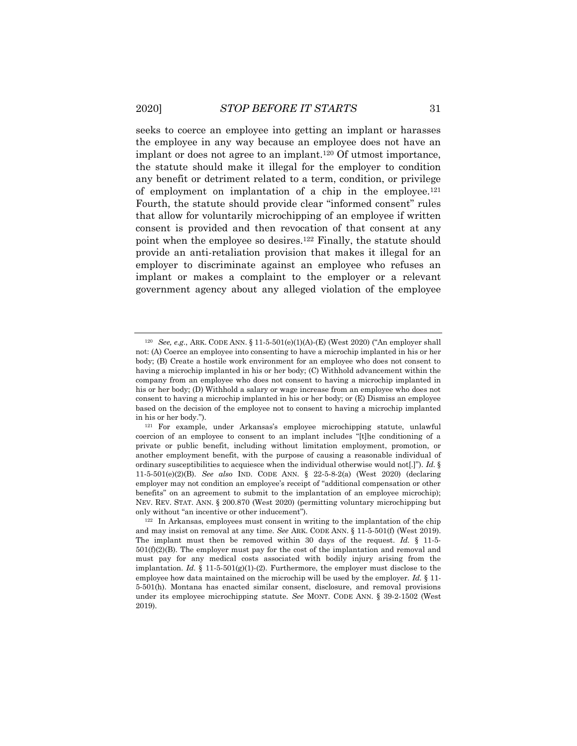seeks to coerce an employee into getting an implant or harasses the employee in any way because an employee does not have an implant or does not agree to an implant.<sup>120</sup> Of utmost importance, the statute should make it illegal for the employer to condition any benefit or detriment related to a term, condition, or privilege of employment on implantation of a chip in the employee.<sup>121</sup> Fourth, the statute should provide clear "informed consent" rules that allow for voluntarily microchipping of an employee if written consent is provided and then revocation of that consent at any point when the employee so desires.<sup>122</sup> Finally, the statute should provide an anti-retaliation provision that makes it illegal for an employer to discriminate against an employee who refuses an implant or makes a complaint to the employer or a relevant government agency about any alleged violation of the employee

<sup>120</sup> *See, e.g.*, ARK. CODE ANN. § 11-5-501(e)(1)(A)-(E) (West 2020) ("An employer shall not: (A) Coerce an employee into consenting to have a microchip implanted in his or her body; (B) Create a hostile work environment for an employee who does not consent to having a microchip implanted in his or her body; (C) Withhold advancement within the company from an employee who does not consent to having a microchip implanted in his or her body; (D) Withhold a salary or wage increase from an employee who does not consent to having a microchip implanted in his or her body; or (E) Dismiss an employee based on the decision of the employee not to consent to having a microchip implanted in his or her body.").

<sup>121</sup> For example, under Arkansas's employee microchipping statute, unlawful coercion of an employee to consent to an implant includes "[t]he conditioning of a private or public benefit, including without limitation employment, promotion, or another employment benefit, with the purpose of causing a reasonable individual of ordinary susceptibilities to acquiesce when the individual otherwise would not[.]"). *Id.* § 11-5-501(e)(2)(B). *See also* IND. CODE ANN. § 22-5-8-2(a) (West 2020) (declaring employer may not condition an employee's receipt of "additional compensation or other benefits" on an agreement to submit to the implantation of an employee microchip); NEV. REV. STAT. ANN. § 200.870 (West 2020) (permitting voluntary microchipping but only without "an incentive or other inducement").

<sup>122</sup> In Arkansas, employees must consent in writing to the implantation of the chip and may insist on removal at any time. *See* ARK. CODE ANN. § 11-5-501(f) (West 2019). The implant must then be removed within 30 days of the request. *Id.* § 11-5- 501(f)(2)(B). The employer must pay for the cost of the implantation and removal and must pay for any medical costs associated with bodily injury arising from the implantation. *Id.* § 11-5-501(g)(1)-(2). Furthermore, the employer must disclose to the employee how data maintained on the microchip will be used by the employer. *Id.* § 11- 5-501(h). Montana has enacted similar consent, disclosure, and removal provisions under its employee microchipping statute. *See* MONT. CODE ANN. § 39-2-1502 (West 2019).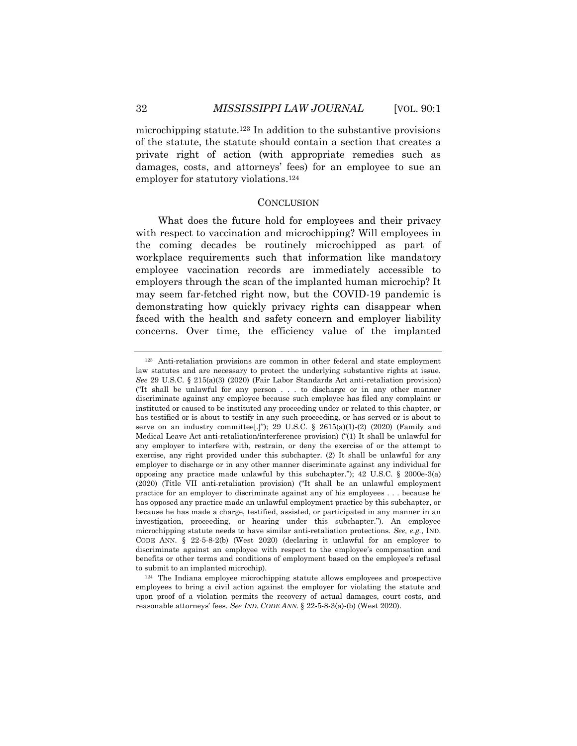microchipping statute.<sup>123</sup> In addition to the substantive provisions of the statute, the statute should contain a section that creates a private right of action (with appropriate remedies such as damages, costs, and attorneys' fees) for an employee to sue an employer for statutory violations.<sup>124</sup>

#### **CONCLUSION**

What does the future hold for employees and their privacy with respect to vaccination and microchipping? Will employees in the coming decades be routinely microchipped as part of workplace requirements such that information like mandatory employee vaccination records are immediately accessible to employers through the scan of the implanted human microchip? It may seem far-fetched right now, but the COVID-19 pandemic is demonstrating how quickly privacy rights can disappear when faced with the health and safety concern and employer liability concerns. Over time, the efficiency value of the implanted

<sup>123</sup> Anti-retaliation provisions are common in other federal and state employment law statutes and are necessary to protect the underlying substantive rights at issue. *See* 29 U.S.C. § 215(a)(3) (2020) (Fair Labor Standards Act anti-retaliation provision) ("It shall be unlawful for any person . . . to discharge or in any other manner discriminate against any employee because such employee has filed any complaint or instituted or caused to be instituted any proceeding under or related to this chapter, or has testified or is about to testify in any such proceeding, or has served or is about to serve on an industry committee[.]"); 29 U.S.C.  $\S$  2615(a)(1)-(2) (2020) (Family and Medical Leave Act anti-retaliation/interference provision) ("(1) It shall be unlawful for any employer to interfere with, restrain, or deny the exercise of or the attempt to exercise, any right provided under this subchapter. (2) It shall be unlawful for any employer to discharge or in any other manner discriminate against any individual for opposing any practice made unlawful by this subchapter.");  $42 \text{ U.S.C.}$  §  $2000e-3(a)$ (2020) (Title VII anti-retaliation provision) ("It shall be an unlawful employment practice for an employer to discriminate against any of his employees . . . because he has opposed any practice made an unlawful employment practice by this subchapter, or because he has made a charge, testified, assisted, or participated in any manner in an investigation, proceeding, or hearing under this subchapter."). An employee microchipping statute needs to have similar anti-retaliation protections. *See, e.g.*, IND. CODE ANN. § 22-5-8-2(b) (West 2020) (declaring it unlawful for an employer to discriminate against an employee with respect to the employee's compensation and benefits or other terms and conditions of employment based on the employee's refusal to submit to an implanted microchip).

<sup>124</sup> The Indiana employee microchipping statute allows employees and prospective employees to bring a civil action against the employer for violating the statute and upon proof of a violation permits the recovery of actual damages, court costs, and reasonable attorneys' fees. *See IND. CODE ANN.* § 22-5-8-3(a)-(b) (West 2020).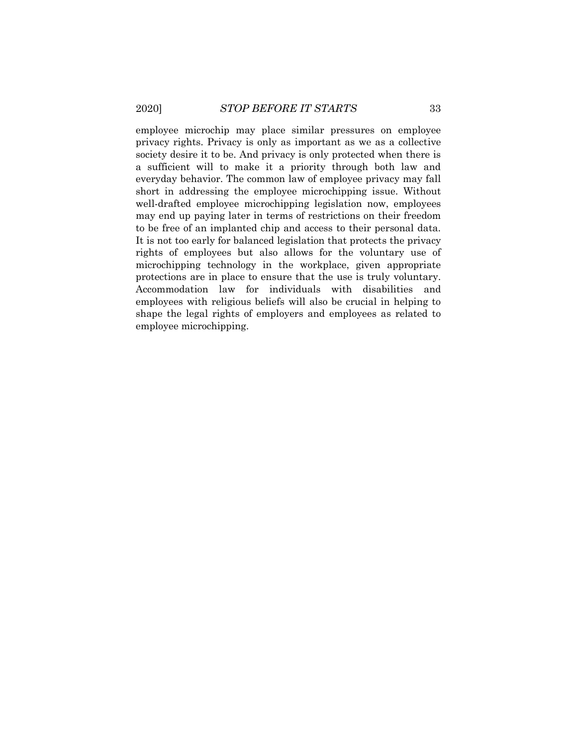employee microchip may place similar pressures on employee privacy rights. Privacy is only as important as we as a collective society desire it to be. And privacy is only protected when there is a sufficient will to make it a priority through both law and everyday behavior. The common law of employee privacy may fall short in addressing the employee microchipping issue. Without well-drafted employee microchipping legislation now, employees may end up paying later in terms of restrictions on their freedom to be free of an implanted chip and access to their personal data. It is not too early for balanced legislation that protects the privacy rights of employees but also allows for the voluntary use of microchipping technology in the workplace, given appropriate protections are in place to ensure that the use is truly voluntary. Accommodation law for individuals with disabilities and employees with religious beliefs will also be crucial in helping to shape the legal rights of employers and employees as related to employee microchipping.